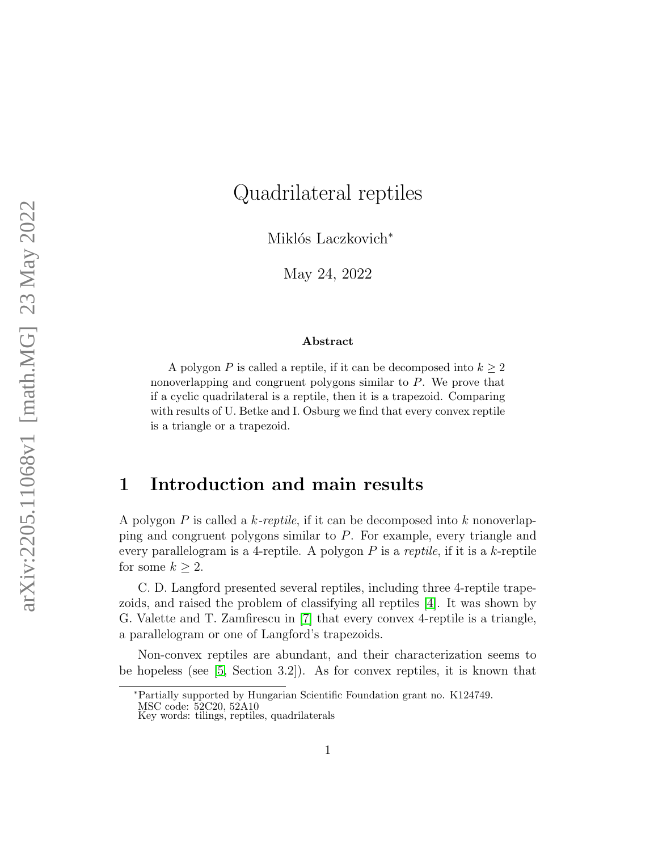# Quadrilateral reptiles

Miklós Laczkovich<sup>\*</sup>

May 24, 2022

#### Abstract

A polygon P is called a reptile, if it can be decomposed into  $k \geq 2$ nonoverlapping and congruent polygons similar to P. We prove that if a cyclic quadrilateral is a reptile, then it is a trapezoid. Comparing with results of U. Betke and I. Osburg we find that every convex reptile is a triangle or a trapezoid.

### 1 Introduction and main results

A polygon P is called a  $k$ -reptile, if it can be decomposed into k nonoverlapping and congruent polygons similar to P. For example, every triangle and every parallelogram is a 4-reptile. A polygon  $P$  is a reptile, if it is a  $k$ -reptile for some  $k \geq 2$ .

C. D. Langford presented several reptiles, including three 4-reptile trapezoids, and raised the problem of classifying all reptiles [\[4\]](#page-35-0). It was shown by G. Valette and T. Zamfirescu in [\[7\]](#page-35-1) that every convex 4-reptile is a triangle, a parallelogram or one of Langford's trapezoids.

Non-convex reptiles are abundant, and their characterization seems to be hopeless (see [\[5,](#page-35-2) Section 3.2]). As for convex reptiles, it is known that

<sup>∗</sup>Partially supported by Hungarian Scientific Foundation grant no. K124749.

MSC code: 52C20, 52A10

Key words: tilings, reptiles, quadrilaterals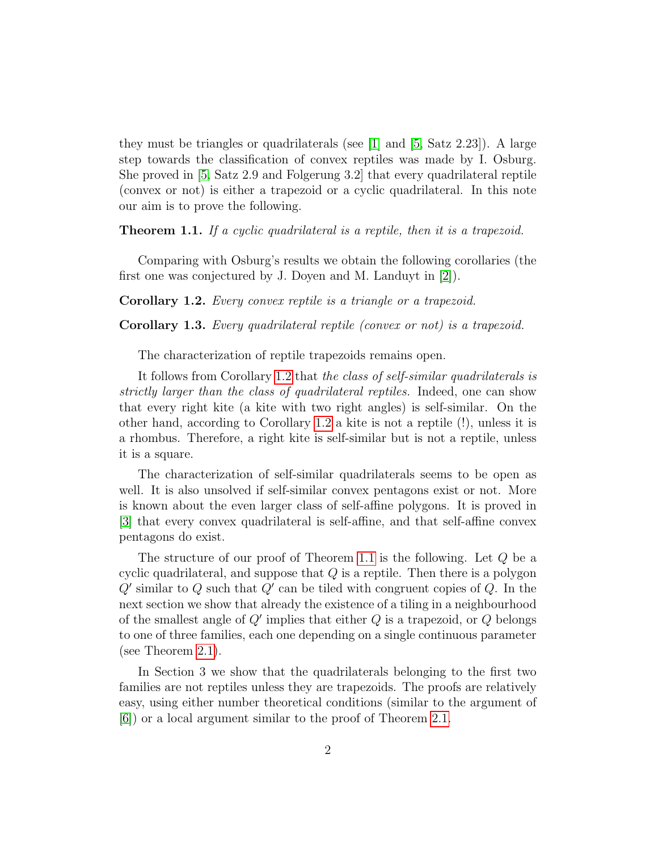they must be triangles or quadrilaterals (see  $[1]$  and  $[5, Satz 2.23]$  $[5, Satz 2.23]$ ). A large step towards the classification of convex reptiles was made by I. Osburg. She proved in [\[5,](#page-35-2) Satz 2.9 and Folgerung 3.2] that every quadrilateral reptile (convex or not) is either a trapezoid or a cyclic quadrilateral. In this note our aim is to prove the following.

<span id="page-1-1"></span>Theorem 1.1. If a cyclic quadrilateral is a reptile, then it is a trapezoid.

Comparing with Osburg's results we obtain the following corollaries (the first one was conjectured by J. Doyen and M. Landuyt in [\[2\]](#page-35-4)).

<span id="page-1-0"></span>Corollary 1.2. Every convex reptile is a triangle or a trapezoid.

Corollary 1.3. Every quadrilateral reptile (convex or not) is a trapezoid.

The characterization of reptile trapezoids remains open.

It follows from Corollary [1.2](#page-1-0) that the class of self-similar quadrilaterals is strictly larger than the class of quadrilateral reptiles. Indeed, one can show that every right kite (a kite with two right angles) is self-similar. On the other hand, according to Corollary [1.2](#page-1-0) a kite is not a reptile (!), unless it is a rhombus. Therefore, a right kite is self-similar but is not a reptile, unless it is a square.

The characterization of self-similar quadrilaterals seems to be open as well. It is also unsolved if self-similar convex pentagons exist or not. More is known about the even larger class of self-affine polygons. It is proved in [\[3\]](#page-35-5) that every convex quadrilateral is self-affine, and that self-affine convex pentagons do exist.

The structure of our proof of Theorem [1.1](#page-1-1) is the following. Let Q be a cyclic quadrilateral, and suppose that  $Q$  is a reptile. Then there is a polygon  $Q'$  similar to  $Q$  such that  $Q'$  can be tiled with congruent copies of  $Q$ . In the next section we show that already the existence of a tiling in a neighbourhood of the smallest angle of  $Q'$  implies that either  $Q$  is a trapezoid, or  $Q$  belongs to one of three families, each one depending on a single continuous parameter (see Theorem [2.1\)](#page-4-0).

In Section 3 we show that the quadrilaterals belonging to the first two families are not reptiles unless they are trapezoids. The proofs are relatively easy, using either number theoretical conditions (similar to the argument of [\[6\]](#page-35-6)) or a local argument similar to the proof of Theorem [2.1.](#page-4-0)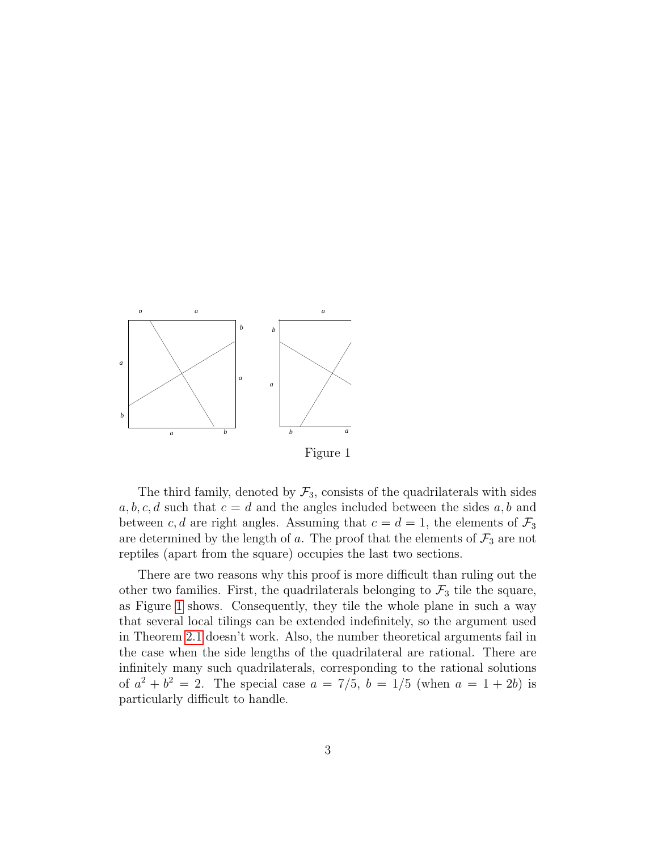<span id="page-2-0"></span>

The third family, denoted by  $\mathcal{F}_3$ , consists of the quadrilaterals with sides  $a, b, c, d$  such that  $c = d$  and the angles included between the sides  $a, b$  and between c, d are right angles. Assuming that  $c = d = 1$ , the elements of  $\mathcal{F}_3$ are determined by the length of a. The proof that the elements of  $\mathcal{F}_3$  are not reptiles (apart from the square) occupies the last two sections.

There are two reasons why this proof is more difficult than ruling out the other two families. First, the quadrilaterals belonging to  $\mathcal{F}_3$  tile the square, as Figure [1](#page-2-0) shows. Consequently, they tile the whole plane in such a way that several local tilings can be extended indefinitely, so the argument used in Theorem [2.1](#page-4-0) doesn't work. Also, the number theoretical arguments fail in the case when the side lengths of the quadrilateral are rational. There are infinitely many such quadrilaterals, corresponding to the rational solutions of  $a^2 + b^2 = 2$ . The special case  $a = 7/5$ ,  $b = 1/5$  (when  $a = 1 + 2b$ ) is particularly difficult to handle.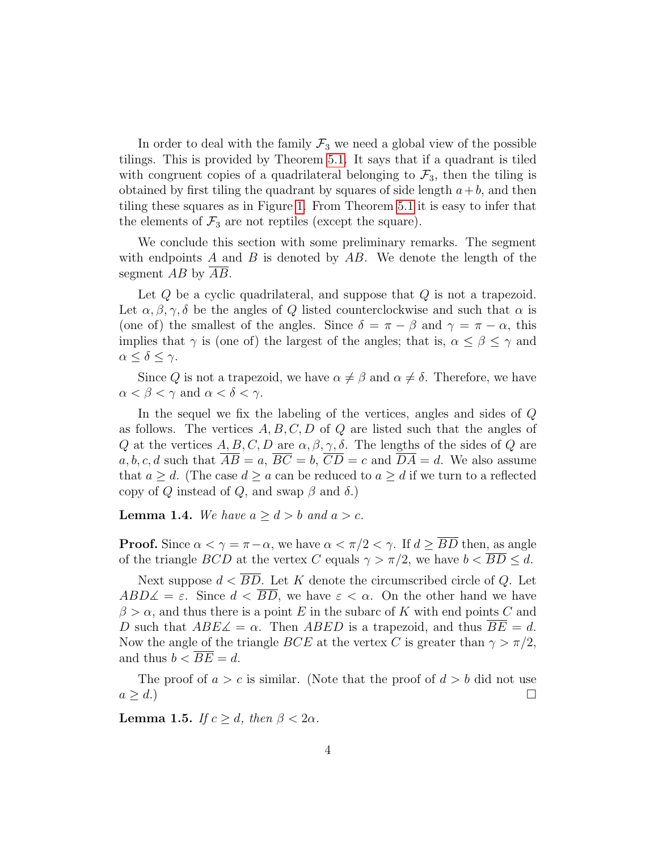In order to deal with the family  $\mathcal{F}_3$  we need a global view of the possible tilings. This is provided by Theorem [5.1.](#page-25-0) It says that if a quadrant is tiled with congruent copies of a quadrilateral belonging to  $\mathcal{F}_3$ , then the tiling is obtained by first tiling the quadrant by squares of side length  $a+b$ , and then tiling these squares as in Figure [1.](#page-2-0) From Theorem [5.1](#page-25-0) it is easy to infer that the elements of  $\mathcal{F}_3$  are not reptiles (except the square).

We conclude this section with some preliminary remarks. The segment with endpoints A and B is denoted by  $AB$ . We denote the length of the segment AB by AB.

Let  $Q$  be a cyclic quadrilateral, and suppose that  $Q$  is not a trapezoid. Let  $\alpha, \beta, \gamma, \delta$  be the angles of Q listed counterclockwise and such that  $\alpha$  is (one of) the smallest of the angles. Since  $\delta = \pi - \beta$  and  $\gamma = \pi - \alpha$ , this implies that  $\gamma$  is (one of) the largest of the angles; that is,  $\alpha \leq \beta \leq \gamma$  and  $\alpha \leq \delta \leq \gamma$ .

Since Q is not a trapezoid, we have  $\alpha \neq \beta$  and  $\alpha \neq \delta$ . Therefore, we have  $\alpha < \beta < \gamma$  and  $\alpha < \delta < \gamma$ .

In the sequel we fix the labeling of the vertices, angles and sides of Q as follows. The vertices  $A, B, C, D$  of Q are listed such that the angles of Q at the vertices  $A, B, C, D$  are  $\alpha, \beta, \gamma, \delta$ . The lengths of the sides of Q are a, b, c, d such that  $\overline{AB} = a$ ,  $\overline{BC} = b$ ,  $\overline{CD} = c$  and  $\overline{DA} = d$ . We also assume that  $a \geq d$ . (The case  $d \geq a$  can be reduced to  $a \geq d$  if we turn to a reflected copy of Q instead of Q, and swap  $\beta$  and  $\delta$ .)

<span id="page-3-0"></span>**Lemma 1.4.** We have  $a \geq d > b$  and  $a > c$ .

**Proof.** Since  $\alpha < \gamma = \pi - \alpha$ , we have  $\alpha < \pi/2 < \gamma$ . If  $d > \overline{BD}$  then, as angle of the triangle  $BCD$  at the vertex C equals  $\gamma > \pi/2$ , we have  $b < BD \le d$ .

Next suppose  $d < \overline{BD}$ . Let K denote the circumscribed circle of Q. Let  $ABD\measuredangle = \varepsilon$ . Since  $d < \overline{BD}$ , we have  $\varepsilon < \alpha$ . On the other hand we have  $\beta > \alpha$ , and thus there is a point E in the subarc of K with end points C and D such that  $ABE\measuredangle = \alpha$ . Then  $ABED$  is a trapezoid, and thus  $\overline{BE} = d$ . Now the angle of the triangle BCE at the vertex C is greater than  $\gamma > \pi/2$ , and thus  $b < \overline{BE} = d$ .

The proof of  $a > c$  is similar. (Note that the proof of  $d > b$  did not use  $a \geq d.$ )

<span id="page-3-1"></span>**Lemma 1.5.** If  $c \geq d$ , then  $\beta < 2\alpha$ .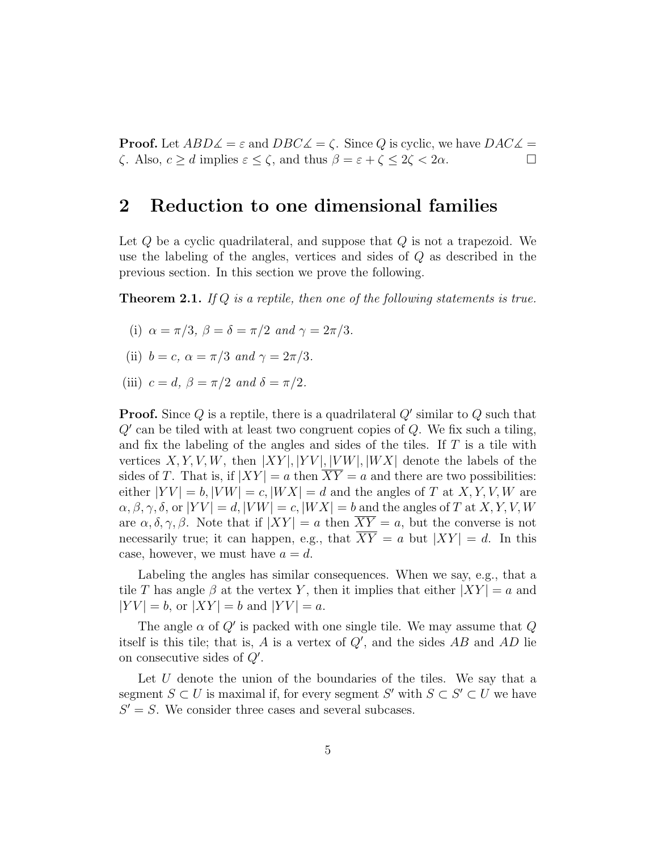**Proof.** Let  $ABD\measuredangle = \varepsilon$  and  $DBC\measuredangle = \zeta$ . Since Q is cyclic, we have  $DAC\measuredangle = \zeta$  $\zeta$ . Also,  $c \geq d$  implies  $\varepsilon \leq \zeta$ , and thus  $\beta = \varepsilon + \zeta \leq 2\zeta < 2\alpha$ .

#### 2 Reduction to one dimensional families

Let  $Q$  be a cyclic quadrilateral, and suppose that  $Q$  is not a trapezoid. We use the labeling of the angles, vertices and sides of Q as described in the previous section. In this section we prove the following.

<span id="page-4-0"></span>**Theorem 2.1.** If Q is a reptile, then one of the following statements is true.

- (i)  $\alpha = \pi/3$ ,  $\beta = \delta = \pi/2$  and  $\gamma = 2\pi/3$ .
- (ii)  $b = c$ ,  $\alpha = \pi/3$  and  $\gamma = 2\pi/3$ .
- (iii)  $c = d$ ,  $\beta = \pi/2$  and  $\delta = \pi/2$ .

**Proof.** Since Q is a reptile, there is a quadrilateral  $Q'$  similar to Q such that  $Q'$  can be tiled with at least two congruent copies of  $Q$ . We fix such a tiling, and fix the labeling of the angles and sides of the tiles. If  $T$  is a tile with vertices  $X, Y, V, W$ , then  $|XY|, |YV|, |VW|, |WX|$  denote the labels of the sides of T. That is, if  $|XY| = a$  then  $\overline{XY} = a$  and there are two possibilities: either  $|YV| = b$ ,  $|VW| = c$ ,  $|WX| = d$  and the angles of T at X, Y, V, W are  $\alpha, \beta, \gamma, \delta$ , or  $|YV| = d, |VW| = c, |WX| = b$  and the angles of T at X, Y, V, W are  $\alpha, \delta, \gamma, \beta$ . Note that if  $|XY| = a$  then  $\overline{XY} = a$ , but the converse is not necessarily true; it can happen, e.g., that  $\overline{XY} = a$  but  $|XY| = d$ . In this case, however, we must have  $a = d$ .

Labeling the angles has similar consequences. When we say, e.g., that a tile T has angle  $\beta$  at the vertex Y, then it implies that either  $|XY| = a$  and  $|YV| = b$ , or  $|XY| = b$  and  $|YV| = a$ .

The angle  $\alpha$  of  $Q'$  is packed with one single tile. We may assume that  $Q$ itself is this tile; that is,  $A$  is a vertex of  $Q'$ , and the sides  $AB$  and  $AD$  lie on consecutive sides of  $Q'$ .

Let  $U$  denote the union of the boundaries of the tiles. We say that a segment  $S \subset U$  is maximal if, for every segment  $S'$  with  $S \subset S' \subset U$  we have  $S' = S$ . We consider three cases and several subcases.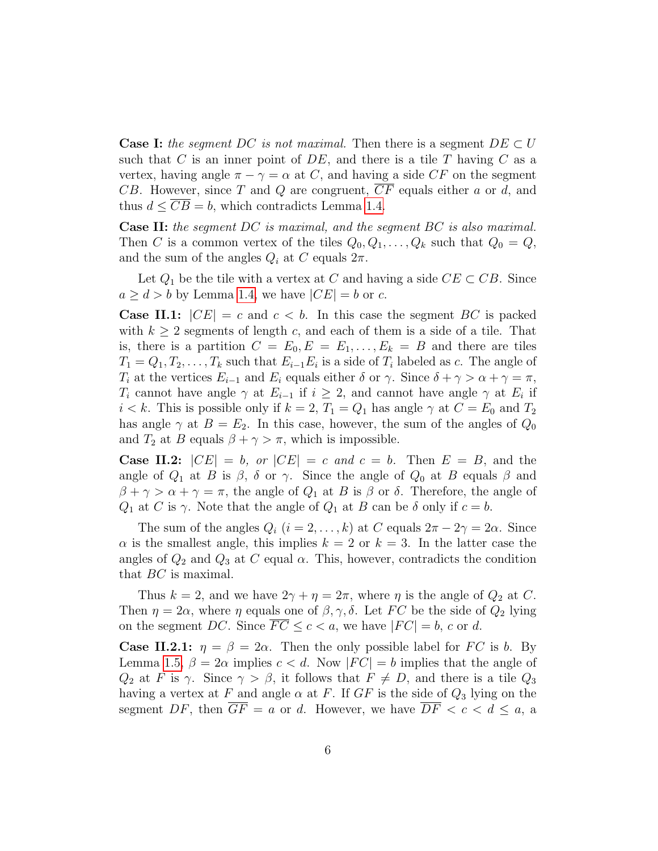**Case I:** the segment DC is not maximal. Then there is a segment  $DE \subset U$ such that  $C$  is an inner point of  $DE$ , and there is a tile  $T$  having  $C$  as a vertex, having angle  $\pi - \gamma = \alpha$  at C, and having a side CF on the segment CB. However, since T and Q are congruent,  $\overline{CF}$  equals either a or d, and thus  $d \leq CB = b$ , which contradicts Lemma [1.4.](#page-3-0)

Case II: the segment DC is maximal, and the segment BC is also maximal. Then C is a common vertex of the tiles  $Q_0, Q_1, \ldots, Q_k$  such that  $Q_0 = Q$ , and the sum of the angles  $Q_i$  at C equals  $2\pi$ .

Let  $Q_1$  be the tile with a vertex at C and having a side  $CE \subset CB$ . Since  $a \geq d > b$  by Lemma [1.4,](#page-3-0) we have  $|CE| = b$  or c.

**Case II.1:**  $|CE| = c$  and  $c < b$ . In this case the segment BC is packed with  $k \geq 2$  segments of length c, and each of them is a side of a tile. That is, there is a partition  $C = E_0, E = E_1, \ldots, E_k = B$  and there are tiles  $T_1 = Q_1, T_2, \ldots, T_k$  such that  $E_{i-1}E_i$  is a side of  $T_i$  labeled as c. The angle of  $T_i$  at the vertices  $E_{i-1}$  and  $E_i$  equals either  $\delta$  or  $\gamma$ . Since  $\delta + \gamma > \alpha + \gamma = \pi$ ,  $T_i$  cannot have angle  $\gamma$  at  $E_{i-1}$  if  $i \geq 2$ , and cannot have angle  $\gamma$  at  $E_i$  if  $i < k$ . This is possible only if  $k = 2, T_1 = Q_1$  has angle  $\gamma$  at  $C = E_0$  and  $T_2$ has angle  $\gamma$  at  $B = E_2$ . In this case, however, the sum of the angles of  $Q_0$ and  $T_2$  at B equals  $\beta + \gamma > \pi$ , which is impossible.

**Case II.2:**  $|CE| = b$ , or  $|CE| = c$  and  $c = b$ . Then  $E = B$ , and the angle of  $Q_1$  at B is  $\beta$ ,  $\delta$  or  $\gamma$ . Since the angle of  $Q_0$  at B equals  $\beta$  and  $\beta + \gamma > \alpha + \gamma = \pi$ , the angle of  $Q_1$  at B is  $\beta$  or  $\delta$ . Therefore, the angle of  $Q_1$  at C is  $\gamma$ . Note that the angle of  $Q_1$  at B can be  $\delta$  only if  $c = b$ .

The sum of the angles  $Q_i$   $(i = 2, ..., k)$  at C equals  $2\pi - 2\gamma = 2\alpha$ . Since  $\alpha$  is the smallest angle, this implies  $k = 2$  or  $k = 3$ . In the latter case the angles of  $Q_2$  and  $Q_3$  at C equal  $\alpha$ . This, however, contradicts the condition that BC is maximal.

Thus  $k = 2$ , and we have  $2\gamma + \eta = 2\pi$ , where  $\eta$  is the angle of  $Q_2$  at C. Then  $\eta = 2\alpha$ , where  $\eta$  equals one of  $\beta, \gamma, \delta$ . Let FC be the side of  $Q_2$  lying on the segment DC. Since  $\overline{FC} \leq c < a$ , we have  $|FC| = b$ , c or d.

**Case II.2.1:**  $\eta = \beta = 2\alpha$ . Then the only possible label for FC is b. By Lemma [1.5,](#page-3-1)  $\beta = 2\alpha$  implies  $c < d$ . Now  $|FC| = b$  implies that the angle of  $Q_2$  at F is  $\gamma$ . Since  $\gamma > \beta$ , it follows that  $F \neq D$ , and there is a tile  $Q_3$ having a vertex at F and angle  $\alpha$  at F. If GF is the side of  $Q_3$  lying on the segment DF, then  $\overline{GF} = a$  or d. However, we have  $\overline{DF} < c < d \le a$ , a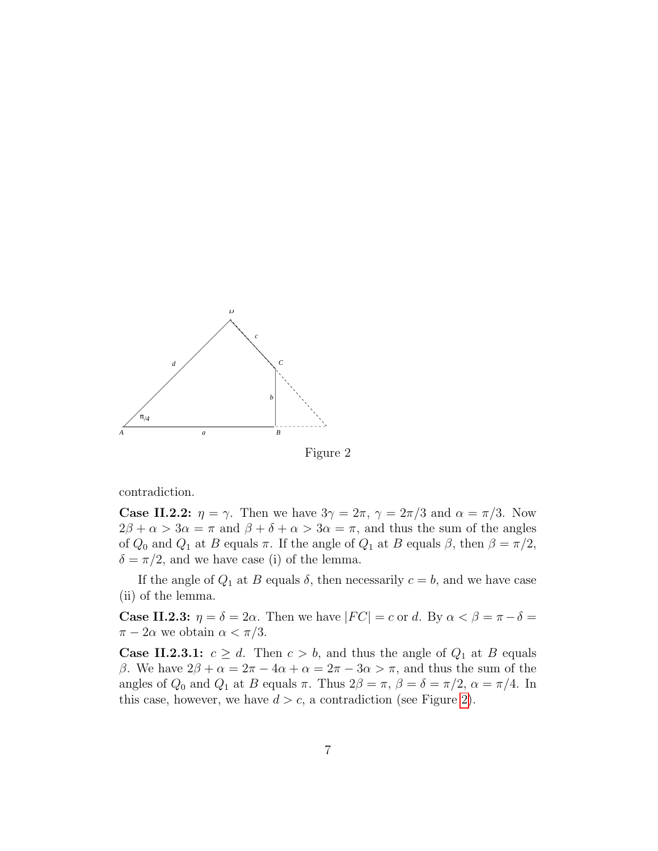<span id="page-6-0"></span>

Figure 2

contradiction.

**Case II.2.2:**  $\eta = \gamma$ . Then we have  $3\gamma = 2\pi$ ,  $\gamma = 2\pi/3$  and  $\alpha = \pi/3$ . Now  $2\beta + \alpha > 3\alpha = \pi$  and  $\beta + \delta + \alpha > 3\alpha = \pi$ , and thus the sum of the angles of  $Q_0$  and  $Q_1$  at B equals  $\pi$ . If the angle of  $Q_1$  at B equals  $\beta$ , then  $\beta = \pi/2$ ,  $\delta = \pi/2$ , and we have case (i) of the lemma.

If the angle of  $Q_1$  at B equals  $\delta$ , then necessarily  $c = b$ , and we have case (ii) of the lemma.

**Case II.2.3:**  $\eta = \delta = 2\alpha$ . Then we have  $|FC| = c$  or d. By  $\alpha < \beta = \pi - \delta =$  $\pi - 2\alpha$  we obtain  $\alpha < \pi/3$ .

**Case II.2.3.1:**  $c \geq d$ . Then  $c > b$ , and thus the angle of  $Q_1$  at B equals β. We have  $2β + α = 2π - 4α + α = 2π - 3α > π$ , and thus the sum of the angles of  $Q_0$  and  $Q_1$  at B equals  $\pi$ . Thus  $2\beta = \pi$ ,  $\beta = \delta = \pi/2$ ,  $\alpha = \pi/4$ . In this case, however, we have  $d > c$ , a contradiction (see Figure [2\)](#page-6-0).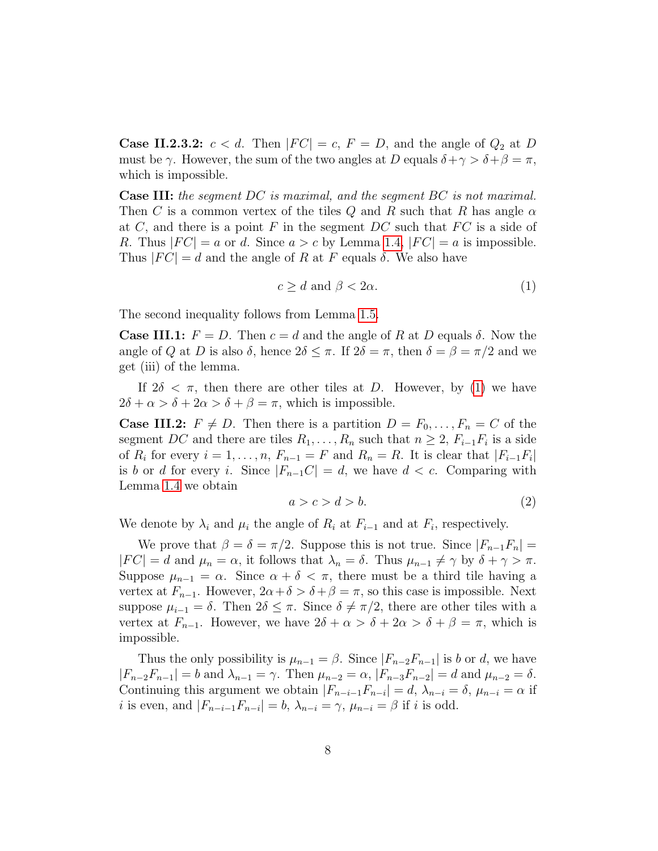**Case II.2.3.2:**  $c < d$ . Then  $|FC| = c$ ,  $F = D$ , and the angle of  $Q_2$  at D must be  $\gamma$ . However, the sum of the two angles at D equals  $\delta + \gamma > \delta + \beta = \pi$ , which is impossible.

Case III: the segment DC is maximal, and the segment BC is not maximal. Then C is a common vertex of the tiles Q and R such that R has angle  $\alpha$ at C, and there is a point F in the segment  $DC$  such that  $FC$  is a side of R. Thus  $|FC| = a$  or d. Since  $a > c$  by Lemma [1.4,](#page-3-0)  $|FC| = a$  is impossible. Thus  $|FC| = d$  and the angle of R at F equals  $\delta$ . We also have

<span id="page-7-0"></span>
$$
c \ge d \text{ and } \beta < 2\alpha. \tag{1}
$$

The second inequality follows from Lemma [1.5.](#page-3-1)

**Case III.1:**  $F = D$ . Then  $c = d$  and the angle of R at D equals  $\delta$ . Now the angle of Q at D is also  $\delta$ , hence  $2\delta \leq \pi$ . If  $2\delta = \pi$ , then  $\delta = \beta = \pi/2$  and we get (iii) of the lemma.

If  $2\delta < \pi$ , then there are other tiles at D. However, by [\(1\)](#page-7-0) we have  $2\delta + \alpha > \delta + 2\alpha > \delta + \beta = \pi$ , which is impossible.

**Case III.2:**  $F \neq D$ . Then there is a partition  $D = F_0, \ldots, F_n = C$  of the segment DC and there are tiles  $R_1, \ldots, R_n$  such that  $n \geq 2$ ,  $F_{i-1}F_i$  is a side of  $R_i$  for every  $i = 1, \ldots, n$ ,  $F_{n-1} = F$  and  $R_n = R$ . It is clear that  $|F_{i-1}F_i|$ is b or d for every i. Since  $|F_{n-1}C|=d$ , we have  $d < c$ . Comparing with Lemma [1.4](#page-3-0) we obtain

<span id="page-7-1"></span>
$$
a > c > d > b. \tag{2}
$$

We denote by  $\lambda_i$  and  $\mu_i$  the angle of  $R_i$  at  $F_{i-1}$  and at  $F_i$ , respectively.

We prove that  $\beta = \delta = \pi/2$ . Suppose this is not true. Since  $|F_{n-1}F_n|$  $|FC| = d$  and  $\mu_n = \alpha$ , it follows that  $\lambda_n = \delta$ . Thus  $\mu_{n-1} \neq \gamma$  by  $\delta + \gamma > \pi$ . Suppose  $\mu_{n-1} = \alpha$ . Since  $\alpha + \delta < \pi$ , there must be a third tile having a vertex at  $F_{n-1}$ . However,  $2\alpha + \delta > \delta + \beta = \pi$ , so this case is impossible. Next suppose  $\mu_{i-1} = \delta$ . Then  $2\delta \leq \pi$ . Since  $\delta \neq \pi/2$ , there are other tiles with a vertex at  $F_{n-1}$ . However, we have  $2\delta + \alpha > \delta + 2\alpha > \delta + \beta = \pi$ , which is impossible.

Thus the only possibility is  $\mu_{n-1} = \beta$ . Since  $|F_{n-2}F_{n-1}|$  is b or d, we have  $|F_{n-2}F_{n-1}| = b$  and  $\lambda_{n-1} = \gamma$ . Then  $\mu_{n-2} = \alpha$ ,  $|F_{n-3}F_{n-2}| = d$  and  $\mu_{n-2} = \delta$ . Continuing this argument we obtain  $|F_{n-i-1}F_{n-i}| = d$ ,  $\lambda_{n-i} = \delta$ ,  $\mu_{n-i} = \alpha$  if *i* is even, and  $|F_{n-i-1}F_{n-i}| = b$ ,  $\lambda_{n-i} = \gamma$ ,  $\mu_{n-i} = \beta$  if *i* is odd.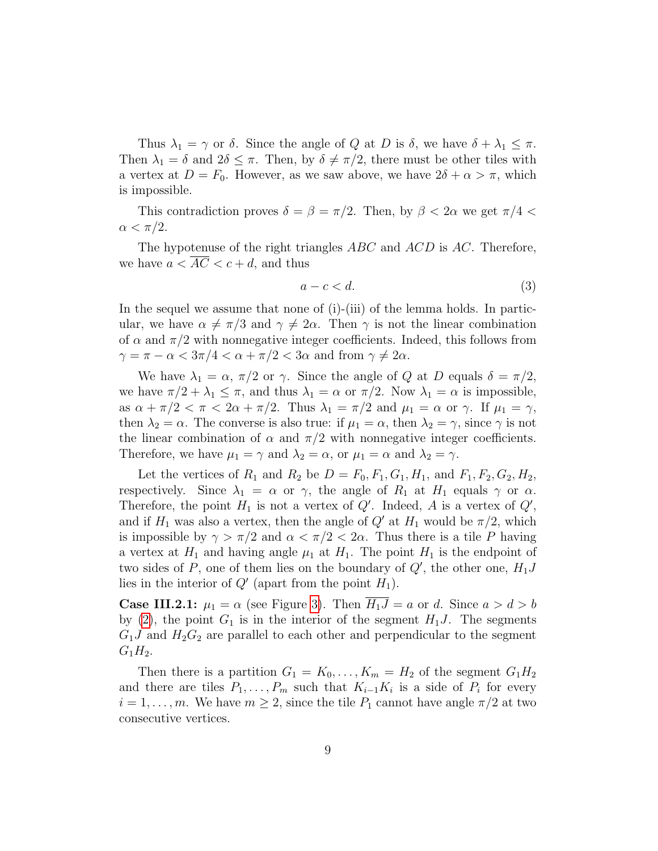Thus  $\lambda_1 = \gamma$  or  $\delta$ . Since the angle of Q at D is  $\delta$ , we have  $\delta + \lambda_1 \leq \pi$ . Then  $\lambda_1 = \delta$  and  $2\delta \leq \pi$ . Then, by  $\delta \neq \pi/2$ , there must be other tiles with a vertex at  $D = F_0$ . However, as we saw above, we have  $2\delta + \alpha > \pi$ , which is impossible.

This contradiction proves  $\delta = \beta = \pi/2$ . Then, by  $\beta < 2\alpha$  we get  $\pi/4 <$  $\alpha < \pi/2$ .

The hypotenuse of the right triangles ABC and ACD is AC. Therefore, we have  $a < AC < c + d$ , and thus

<span id="page-8-0"></span>
$$
a - c < d. \tag{3}
$$

In the sequel we assume that none of (i)-(iii) of the lemma holds. In particular, we have  $\alpha \neq \pi/3$  and  $\gamma \neq 2\alpha$ . Then  $\gamma$  is not the linear combination of  $\alpha$  and  $\pi/2$  with nonnegative integer coefficients. Indeed, this follows from  $\gamma = \pi - \alpha < 3\pi/4 < \alpha + \pi/2 < 3\alpha$  and from  $\gamma \neq 2\alpha$ .

We have  $\lambda_1 = \alpha$ ,  $\pi/2$  or  $\gamma$ . Since the angle of Q at D equals  $\delta = \pi/2$ , we have  $\pi/2 + \lambda_1 \leq \pi$ , and thus  $\lambda_1 = \alpha$  or  $\pi/2$ . Now  $\lambda_1 = \alpha$  is impossible, as  $\alpha + \pi/2 < \pi < 2\alpha + \pi/2$ . Thus  $\lambda_1 = \pi/2$  and  $\mu_1 = \alpha$  or  $\gamma$ . If  $\mu_1 = \gamma$ , then  $\lambda_2 = \alpha$ . The converse is also true: if  $\mu_1 = \alpha$ , then  $\lambda_2 = \gamma$ , since  $\gamma$  is not the linear combination of  $\alpha$  and  $\pi/2$  with nonnegative integer coefficients. Therefore, we have  $\mu_1 = \gamma$  and  $\lambda_2 = \alpha$ , or  $\mu_1 = \alpha$  and  $\lambda_2 = \gamma$ .

Let the vertices of  $R_1$  and  $R_2$  be  $D = F_0, F_1, G_1, H_1$ , and  $F_1, F_2, G_2, H_2$ , respectively. Since  $\lambda_1 = \alpha$  or  $\gamma$ , the angle of  $R_1$  at  $H_1$  equals  $\gamma$  or  $\alpha$ . Therefore, the point  $H_1$  is not a vertex of  $Q'$ . Indeed, A is a vertex of  $Q'$ , and if  $H_1$  was also a vertex, then the angle of  $Q'$  at  $H_1$  would be  $\pi/2$ , which is impossible by  $\gamma > \pi/2$  and  $\alpha < \pi/2 < 2\alpha$ . Thus there is a tile P having a vertex at  $H_1$  and having angle  $\mu_1$  at  $H_1$ . The point  $H_1$  is the endpoint of two sides of P, one of them lies on the boundary of  $Q'$ , the other one,  $H_1J$ lies in the interior of  $Q'$  (apart from the point  $H_1$ ).

**Case III.2.1:**  $\mu_1 = \alpha$  (see Figure [3\)](#page-9-0). Then  $\overline{H_1J} = a$  or d. Since  $a > d > b$ by [\(2\)](#page-7-1), the point  $G_1$  is in the interior of the segment  $H_1J$ . The segments  $G_1J$  and  $H_2G_2$  are parallel to each other and perpendicular to the segment  $G_1H_2$ .

Then there is a partition  $G_1 = K_0, \ldots, K_m = H_2$  of the segment  $G_1 H_2$ and there are tiles  $P_1, \ldots, P_m$  such that  $K_{i-1}K_i$  is a side of  $P_i$  for every  $i = 1, \ldots, m$ . We have  $m \geq 2$ , since the tile  $P_1$  cannot have angle  $\pi/2$  at two consecutive vertices.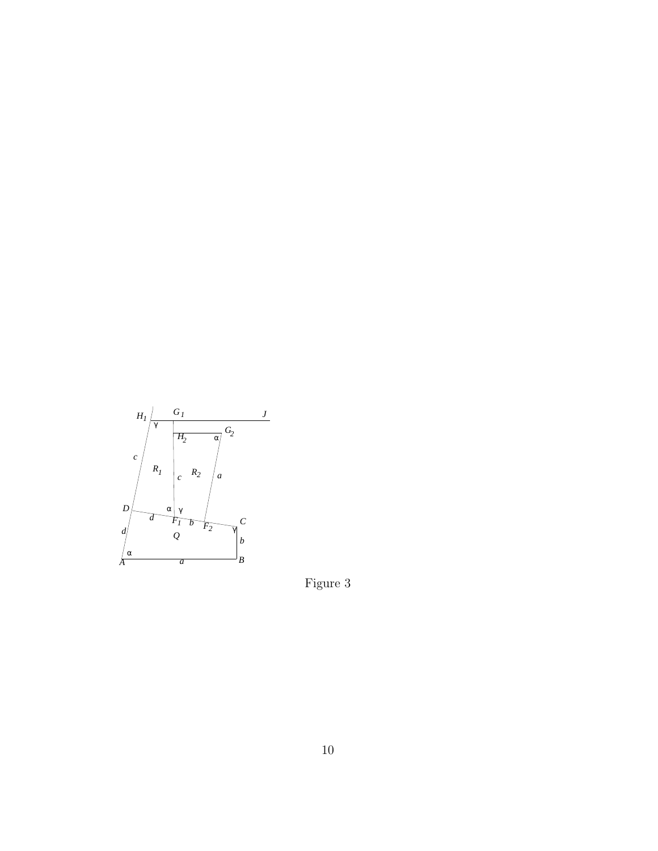<span id="page-9-0"></span>

Figure 3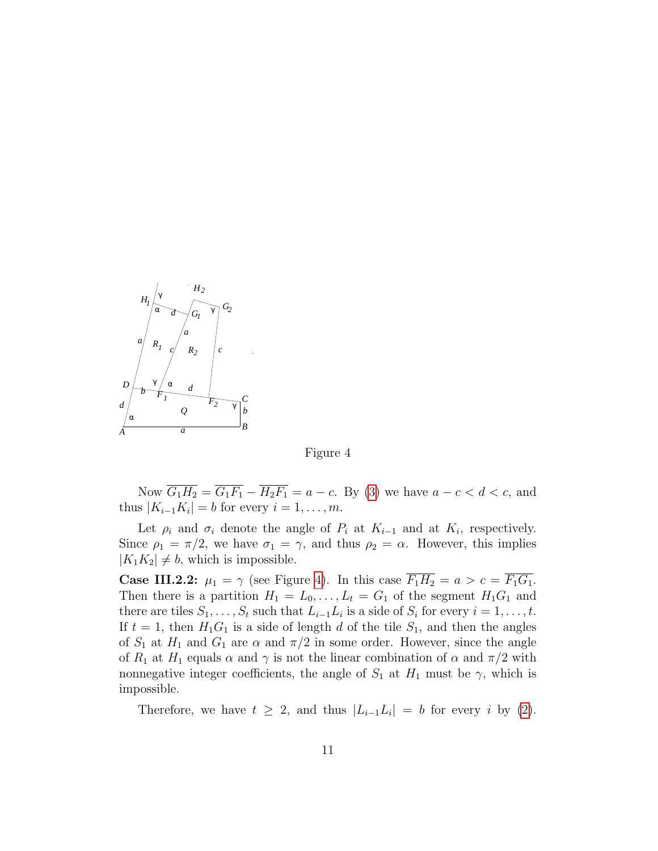<span id="page-10-0"></span>

Figure 4

Now  $\overline{G_1H_2} = \overline{G_1F_1} - \overline{H_2F_1} = a - c$ . By [\(3\)](#page-8-0) we have  $a - c < d < c$ , and thus  $|K_{i-1}K_i|=b$  for every  $i=1,\ldots,m$ .

Let  $\rho_i$  and  $\sigma_i$  denote the angle of  $P_i$  at  $K_{i-1}$  and at  $K_i$ , respectively. Since  $\rho_1 = \pi/2$ , we have  $\sigma_1 = \gamma$ , and thus  $\rho_2 = \alpha$ . However, this implies  $|K_1K_2| \neq b$ , which is impossible.

**Case III.2.2:**  $\mu_1 = \gamma$  (see Figure [4\)](#page-10-0). In this case  $\overline{F_1H_2} = a > c = \overline{F_1G_1}$ . Then there is a partition  $H_1 = L_0, \ldots, L_t = G_1$  of the segment  $H_1G_1$  and there are tiles  $S_1, \ldots, S_t$  such that  $L_{i-1}L_i$  is a side of  $S_i$  for every  $i = 1, \ldots, t$ . If  $t = 1$ , then  $H_1G_1$  is a side of length d of the tile  $S_1$ , and then the angles of  $S_1$  at  $H_1$  and  $G_1$  are  $\alpha$  and  $\pi/2$  in some order. However, since the angle of  $R_1$  at  $H_1$  equals  $\alpha$  and  $\gamma$  is not the linear combination of  $\alpha$  and  $\pi/2$  with nonnegative integer coefficients, the angle of  $S_1$  at  $H_1$  must be  $\gamma$ , which is impossible.

Therefore, we have  $t \geq 2$ , and thus  $|L_{i-1}L_i| = b$  for every i by [\(2\)](#page-7-1).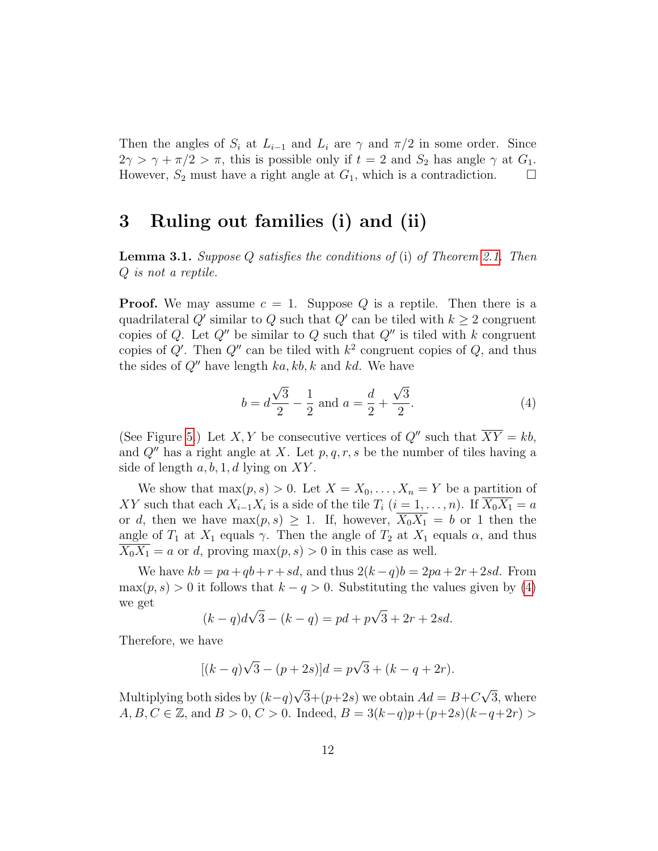Then the angles of  $S_i$  at  $L_{i-1}$  and  $L_i$  are  $\gamma$  and  $\pi/2$  in some order. Since  $2\gamma > \gamma + \pi/2 > \pi$ , this is possible only if  $t = 2$  and  $S_2$  has angle  $\gamma$  at  $G_1$ . However,  $S_2$  must have a right angle at  $G_1$ , which is a contradiction.  $\Box$ 

### 3 Ruling out families (i) and (ii)

<span id="page-11-1"></span>**Lemma 3.1.** Suppose Q satisfies the conditions of (i) of Theorem [2.1.](#page-4-0) Then Q is not a reptile.

**Proof.** We may assume  $c = 1$ . Suppose Q is a reptile. Then there is a quadrilateral Q' similar to Q such that Q' can be tiled with  $k \geq 2$  congruent copies of Q. Let  $Q''$  be similar to Q such that  $Q''$  is tiled with k congruent copies of Q'. Then  $Q''$  can be tiled with  $k^2$  congruent copies of Q, and thus the sides of  $Q''$  have length  $ka, kb, k$  and kd. We have

<span id="page-11-0"></span>
$$
b = d\frac{\sqrt{3}}{2} - \frac{1}{2} \text{ and } a = \frac{d}{2} + \frac{\sqrt{3}}{2}.
$$
 (4)

(See Figure [5.](#page-12-0)) Let X, Y be consecutive vertices of  $Q''$  such that  $\overline{XY} = kb$ , and  $Q''$  has a right angle at X. Let p, q, r, s be the number of tiles having a side of length  $a, b, 1, d$  lying on XY.

We show that  $\max(p, s) > 0$ . Let  $X = X_0, \ldots, X_n = Y$  be a partition of XY such that each  $X_{i-1}X_i$  is a side of the tile  $T_i$   $(i = 1, \ldots, n)$ . If  $X_0X_1 = a$ or d, then we have  $\max(p, s) \geq 1$ . If, however,  $\overline{X_0 X_1} = b$  or 1 then the angle of  $T_1$  at  $X_1$  equals  $\gamma$ . Then the angle of  $T_2$  at  $X_1$  equals  $\alpha$ , and thus  $\overline{X_0 X_1} = a$  or d, proving  $\max(p, s) > 0$  in this case as well.

We have  $kb = pa + qb + r + sd$ , and thus  $2(k-q)b = 2pa + 2r + 2sd$ . From  $\max(p, s) > 0$  it follows that  $k - q > 0$ . Substituting the values given by [\(4\)](#page-11-0) we get √ √

$$
(k-q)d\sqrt{3} - (k-q) = pd + p\sqrt{3} + 2r + 2sd.
$$

Therefore, we have

$$
[(k-q)\sqrt{3} - (p+2s)]d = p\sqrt{3} + (k-q+2r).
$$

Multiplying both sides by  $(k-q)$ √  $3+(p+2s)$  we obtain  $Ad=B+C$ √ 3, where  $A, B, C \in \mathbb{Z}$ , and  $B > 0$ ,  $C > 0$ . Indeed,  $B = 3(k-q)p+(p+2s)(k-q+2r)$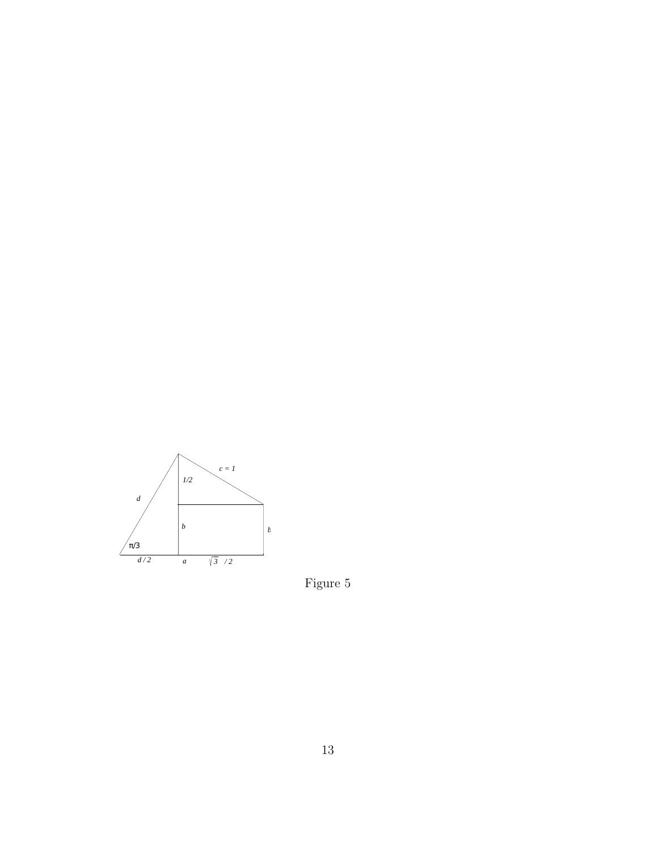<span id="page-12-0"></span>

Figure 5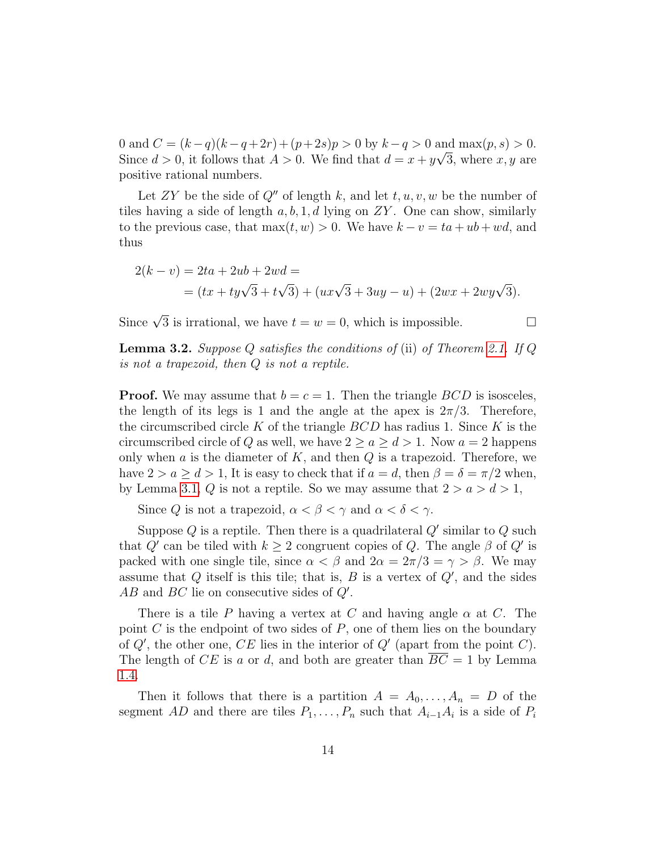0 and  $C = (k-q)(k-q+2r) + (p+2s)p > 0$  by  $k-q > 0$  and  $\max(p, s) > 0$ . Since  $d > 0$ , it follows that  $A > 0$ . We find that  $d = x + y\sqrt{3}$ , where x, y are positive rational numbers.

Let ZY be the side of  $Q''$  of length k, and let  $t, u, v, w$  be the number of tiles having a side of length  $a, b, 1, d$  lying on  $ZY$ . One can show, similarly to the previous case, that  $\max(t, w) > 0$ . We have  $k - v = ta + ub + wd$ , and thus

$$
2(k - v) = 2ta + 2ub + 2wd =
$$
  
=  $(tx + ty\sqrt{3} + t\sqrt{3}) + (ux\sqrt{3} + 3uy - u) + (2wx + 2wy\sqrt{3}).$ 

Since  $\sqrt{3}$  is irrational, we have  $t = w = 0$ , which is impossible.

**Lemma 3.2.** Suppose Q satisfies the conditions of (ii) of Theorem [2.1.](#page-4-0) If Q is not a trapezoid, then Q is not a reptile.

**Proof.** We may assume that  $b = c = 1$ . Then the triangle *BCD* is isosceles, the length of its legs is 1 and the angle at the apex is  $2\pi/3$ . Therefore, the circumscribed circle K of the triangle  $BCD$  has radius 1. Since K is the circumscribed circle of Q as well, we have  $2 \ge a \ge d > 1$ . Now  $a = 2$  happens only when  $a$  is the diameter of  $K$ , and then  $Q$  is a trapezoid. Therefore, we have  $2 > a \geq d > 1$ , It is easy to check that if  $a = d$ , then  $\beta = \delta = \pi/2$  when, by Lemma [3.1,](#page-11-1) Q is not a reptile. So we may assume that  $2 > a > d > 1$ ,

Since Q is not a trapezoid,  $\alpha < \beta < \gamma$  and  $\alpha < \delta < \gamma$ .

Suppose Q is a reptile. Then there is a quadrilateral  $Q'$  similar to Q such that Q' can be tiled with  $k \geq 2$  congruent copies of Q. The angle  $\beta$  of Q' is packed with one single tile, since  $\alpha < \beta$  and  $2\alpha = 2\pi/3 = \gamma > \beta$ . We may assume that  $Q$  itself is this tile; that is,  $B$  is a vertex of  $Q'$ , and the sides  $AB$  and  $BC$  lie on consecutive sides of  $Q'$ .

There is a tile P having a vertex at C and having angle  $\alpha$  at C. The point C is the endpoint of two sides of  $P$ , one of them lies on the boundary of  $Q'$ , the other one, CE lies in the interior of  $Q'$  (apart from the point C). The length of CE is a or d, and both are greater than  $\overline{BC} = 1$  by Lemma [1.4.](#page-3-0)

Then it follows that there is a partition  $A = A_0, \ldots, A_n = D$  of the segment AD and there are tiles  $P_1, \ldots, P_n$  such that  $A_{i-1}A_i$  is a side of  $P_i$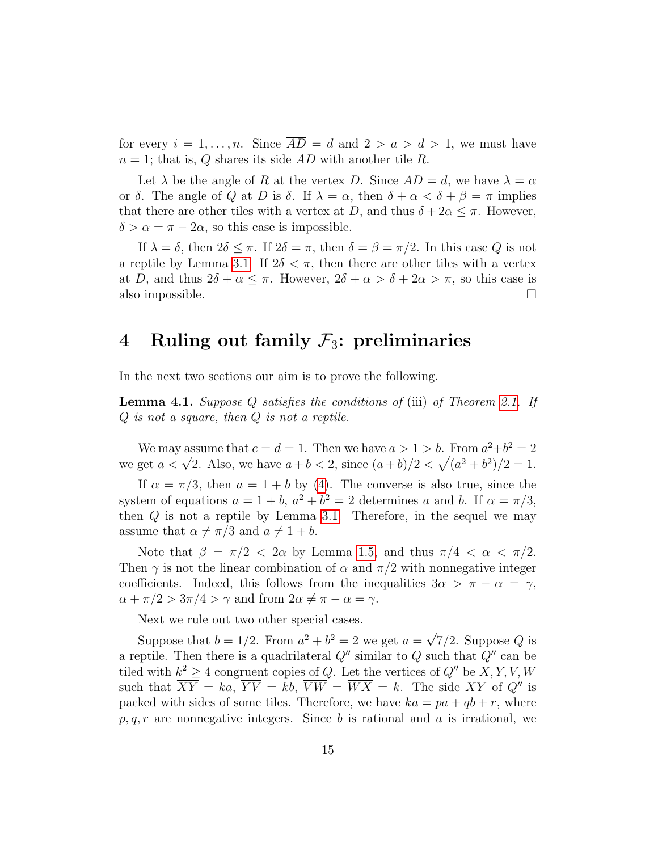for every  $i = 1, ..., n$ . Since  $\overline{AD} = d$  and  $2 > a > d > 1$ , we must have  $n = 1$ ; that is, Q shares its side AD with another tile R.

Let  $\lambda$  be the angle of R at the vertex D. Since  $\overline{AD} = d$ , we have  $\lambda = \alpha$ or  $\delta$ . The angle of Q at D is  $\delta$ . If  $\lambda = \alpha$ , then  $\delta + \alpha < \delta + \beta = \pi$  implies that there are other tiles with a vertex at D, and thus  $\delta + 2\alpha \leq \pi$ . However,  $\delta > \alpha = \pi - 2\alpha$ , so this case is impossible.

If  $\lambda = \delta$ , then  $2\delta \leq \pi$ . If  $2\delta = \pi$ , then  $\delta = \beta = \pi/2$ . In this case Q is not a reptile by Lemma [3.1.](#page-11-1) If  $2\delta < \pi$ , then there are other tiles with a vertex at D, and thus  $2\delta + \alpha \leq \pi$ . However,  $2\delta + \alpha > \delta + 2\alpha > \pi$ , so this case is also impossible.  $\Box$ 

## 4 Ruling out family  $\mathcal{F}_3$ : preliminaries

In the next two sections our aim is to prove the following.

<span id="page-14-0"></span>**Lemma 4.1.** Suppose Q satisfies the conditions of (iii) of Theorem [2.1.](#page-4-0) If Q is not a square, then Q is not a reptile.

We may assume that  $c = d = 1$ . Then we have  $a > 1 > b$ . From  $a^2+b^2 = 2$ We may assume that  $c = a = 1$ . Then we have  $a > 1 > b$ . From  $a^2 + b^2 = 2$ <br>we get  $a < \sqrt{2}$ . Also, we have  $a + b < 2$ , since  $(a + b)/2 < \sqrt{(a^2 + b^2)/2} = 1$ .

If  $\alpha = \pi/3$ , then  $a = 1 + b$  by [\(4\)](#page-11-0). The converse is also true, since the system of equations  $a = 1 + b$ ,  $a^2 + b^2 = 2$  determines a and b. If  $\alpha = \pi/3$ , then Q is not a reptile by Lemma [3.1.](#page-11-1) Therefore, in the sequel we may assume that  $\alpha \neq \pi/3$  and  $a \neq 1 + b$ .

Note that  $\beta = \pi/2 < 2\alpha$  by Lemma [1.5,](#page-3-1) and thus  $\pi/4 < \alpha < \pi/2$ . Then  $\gamma$  is not the linear combination of  $\alpha$  and  $\pi/2$  with nonnegative integer coefficients. Indeed, this follows from the inequalities  $3\alpha > \pi - \alpha = \gamma$ ,  $\alpha + \pi/2 > 3\pi/4 > \gamma$  and from  $2\alpha \neq \pi - \alpha = \gamma$ .

Next we rule out two other special cases.

Suppose that  $b = 1/2$ . From  $a^2 + b^2 = 2$  we get  $a =$ √  $7/2$ . Suppose Q is a reptile. Then there is a quadrilateral  $Q''$  similar to  $Q$  such that  $Q''$  can be tiled with  $k^2 \geq 4$  congruent copies of Q. Let the vertices of Q'' be  $X, Y, V, W$ such that  $\overline{XY} = ka$ ,  $\overline{YV} = kb$ ,  $\overline{VW} = \overline{WX} = k$ . The side XY of Q'' is packed with sides of some tiles. Therefore, we have  $ka = pa + qb + r$ , where  $p, q, r$  are nonnegative integers. Since b is rational and a is irrational, we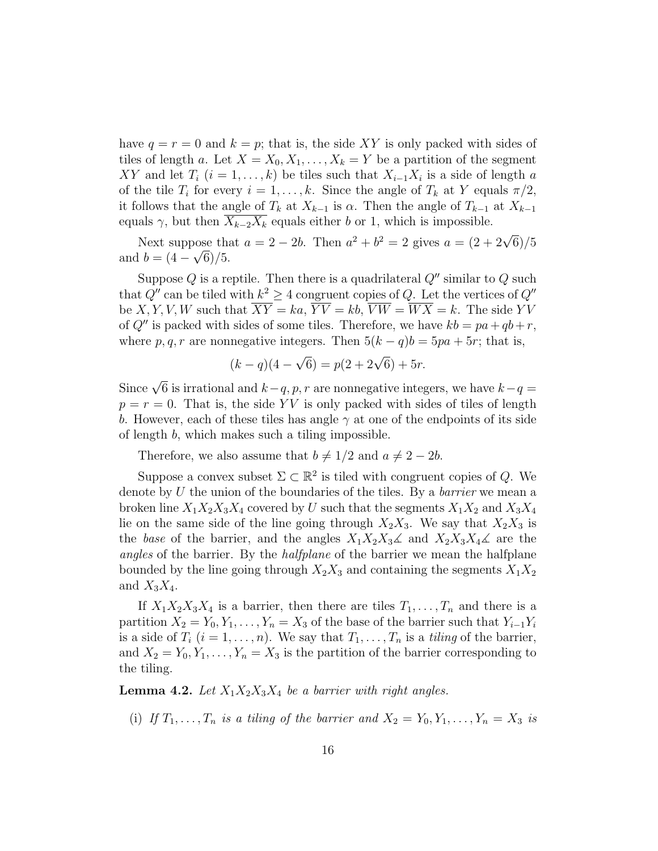have  $q = r = 0$  and  $k = p$ ; that is, the side XY is only packed with sides of tiles of length a. Let  $X = X_0, X_1, \ldots, X_k = Y$  be a partition of the segment XY and let  $T_i$   $(i = 1, \ldots, k)$  be tiles such that  $X_{i-1}X_i$  is a side of length a of the tile  $T_i$  for every  $i = 1, ..., k$ . Since the angle of  $T_k$  at Y equals  $\pi/2$ , it follows that the angle of  $T_k$  at  $X_{k-1}$  is  $\alpha$ . Then the angle of  $T_{k-1}$  at  $X_{k-1}$ equals  $\gamma$ , but then  $X_{k-2}X_k$  equals either b or 1, which is impossible.

Next suppose that  $a = 2 - 2b$ . Then  $a^2 + b^2 = 2$  gives  $a = (2 + 2\sqrt{6})/5$ and  $b = (4 - \sqrt{6})/5$ .

Suppose Q is a reptile. Then there is a quadrilateral  $Q''$  similar to Q such that  $Q''$  can be tiled with  $k^2 \geq 4$  congruent copies of Q. Let the vertices of  $Q''$ be X, Y, V, W such that  $\overline{XY} = ka$ ,  $\overline{YY} = kb$ ,  $\overline{VW} = \overline{WX} = k$ . The side YV of Q'' is packed with sides of some tiles. Therefore, we have  $kb = pa + qb + r$ , where p, q, r are nonnegative integers. Then  $5(k-q)b = 5pa + 5r$ ; that is,

$$
(k - q)(4 - \sqrt{6}) = p(2 + 2\sqrt{6}) + 5r.
$$

Since  $\sqrt{6}$  is irrational and  $k-q$ ,  $p, r$  are nonnegative integers, we have  $k-q =$  $p = r = 0$ . That is, the side YV is only packed with sides of tiles of length b. However, each of these tiles has angle  $\gamma$  at one of the endpoints of its side of length b, which makes such a tiling impossible.

Therefore, we also assume that  $b \neq 1/2$  and  $a \neq 2 - 2b$ .

Suppose a convex subset  $\Sigma \subset \mathbb{R}^2$  is tiled with congruent copies of Q. We denote by  $U$  the union of the boundaries of the tiles. By a *barrier* we mean a broken line  $X_1X_2X_3X_4$  covered by U such that the segments  $X_1X_2$  and  $X_3X_4$ lie on the same side of the line going through  $X_2X_3$ . We say that  $X_2X_3$  is the base of the barrier, and the angles  $X_1X_2X_3\mathcal{L}$  and  $X_2X_3X_4\mathcal{L}$  are the angles of the barrier. By the *halfplane* of the barrier we mean the halfplane bounded by the line going through  $X_2X_3$  and containing the segments  $X_1X_2$ and  $X_3X_4$ .

If  $X_1X_2X_3X_4$  is a barrier, then there are tiles  $T_1, \ldots, T_n$  and there is a partition  $X_2 = Y_0, Y_1, \ldots, Y_n = X_3$  of the base of the barrier such that  $Y_{i-1}Y_i$ is a side of  $T_i$   $(i = 1, \ldots, n)$ . We say that  $T_1, \ldots, T_n$  is a *tiling* of the barrier, and  $X_2 = Y_0, Y_1, \ldots, Y_n = X_3$  is the partition of the barrier corresponding to the tiling.

<span id="page-15-0"></span>**Lemma 4.2.** Let  $X_1X_2X_3X_4$  be a barrier with right angles.

(i) If  $T_1, \ldots, T_n$  is a tiling of the barrier and  $X_2 = Y_0, Y_1, \ldots, Y_n = X_3$  is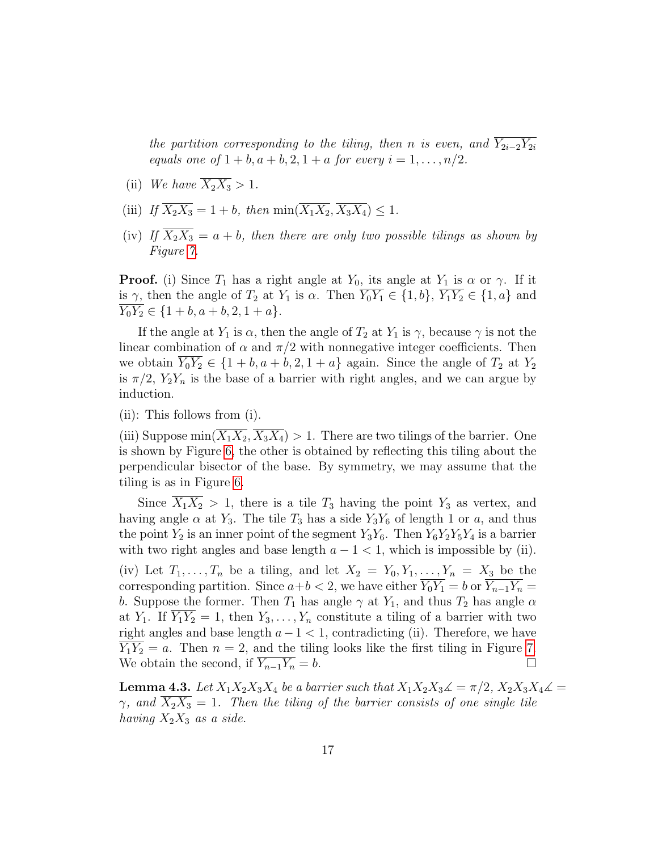the partition corresponding to the tiling, then n is even, and  $\overline{Y_{2i-2}Y_{2i}}$ equals one of  $1 + b$ ,  $a + b$ ,  $2$ ,  $1 + a$  for every  $i = 1, ..., n/2$ .

- (ii) We have  $\overline{X_2 X_3} > 1$ .
- (iii) If  $\overline{X_2 X_3} = 1 + b$ , then  $\min(\overline{X_1 X_2}, \overline{X_3 X_4}) \leq 1$ .
- (iv) If  $\overline{X_2 X_3} = a + b$ , then there are only two possible tilings as shown by Figure [7.](#page-18-0)

**Proof.** (i) Since  $T_1$  has a right angle at  $Y_0$ , its angle at  $Y_1$  is  $\alpha$  or  $\gamma$ . If it is  $\gamma$ , then the angle of  $T_2$  at  $Y_1$  is  $\alpha$ . Then  $\overline{Y_0Y_1} \in \{1,b\}$ ,  $\overline{Y_1Y_2} \in \{1,a\}$  and  $Y_0Y_2 \in \{1+b, a+b, 2, 1+a\}.$ 

If the angle at  $Y_1$  is  $\alpha$ , then the angle of  $T_2$  at  $Y_1$  is  $\gamma$ , because  $\gamma$  is not the linear combination of  $\alpha$  and  $\pi/2$  with nonnegative integer coefficients. Then we obtain  $Y_0Y_2 \in \{1 + b, a + b, 2, 1 + a\}$  again. Since the angle of  $T_2$  at  $Y_2$ is  $\pi/2$ ,  $Y_2Y_n$  is the base of a barrier with right angles, and we can argue by induction.

(ii): This follows from (i).

(iii) Suppose  $\min(\overline{X_1X_2}, \overline{X_3X_4}) > 1$ . There are two tilings of the barrier. One is shown by Figure [6,](#page-17-0) the other is obtained by reflecting this tiling about the perpendicular bisector of the base. By symmetry, we may assume that the tiling is as in Figure [6.](#page-17-0)

Since  $\overline{X_1 X_2} > 1$ , there is a tile  $T_3$  having the point  $Y_3$  as vertex, and having angle  $\alpha$  at  $Y_3$ . The tile  $T_3$  has a side  $Y_3Y_6$  of length 1 or a, and thus the point  $Y_2$  is an inner point of the segment  $Y_3Y_6$ . Then  $Y_6Y_2Y_5Y_4$  is a barrier with two right angles and base length  $a - 1 < 1$ , which is impossible by (ii). (iv) Let  $T_1, \ldots, T_n$  be a tiling, and let  $X_2 = Y_0, Y_1, \ldots, Y_n = X_3$  be the corresponding partition. Since  $a+b < 2$ , we have either  $\overline{Y_0 Y_1} = b$  or  $\overline{Y_{n-1} Y_n} =$ b. Suppose the former. Then  $T_1$  has angle  $\gamma$  at  $Y_1$ , and thus  $T_2$  has angle  $\alpha$ at  $Y_1$ . If  $\overline{Y_1 Y_2} = 1$ , then  $Y_3, \ldots, Y_n$  constitute a tiling of a barrier with two right angles and base length  $a-1 < 1$ , contradicting (ii). Therefore, we have  $Y_1Y_2 = a$ . Then  $n = 2$ , and the tiling looks like the first tiling in Figure [7.](#page-18-0) We obtain the second, if  $\overline{Y_{n-1}Y_n} = b$ .

<span id="page-16-0"></span>**Lemma 4.3.** Let  $X_1X_2X_3X_4$  be a barrier such that  $X_1X_2X_3\mathcal{L} = \pi/2$ ,  $X_2X_3X_4\mathcal{L} =$  $\gamma$ , and  $\overline{X_2X_3} = 1$ . Then the tiling of the barrier consists of one single tile having  $X_2X_3$  as a side.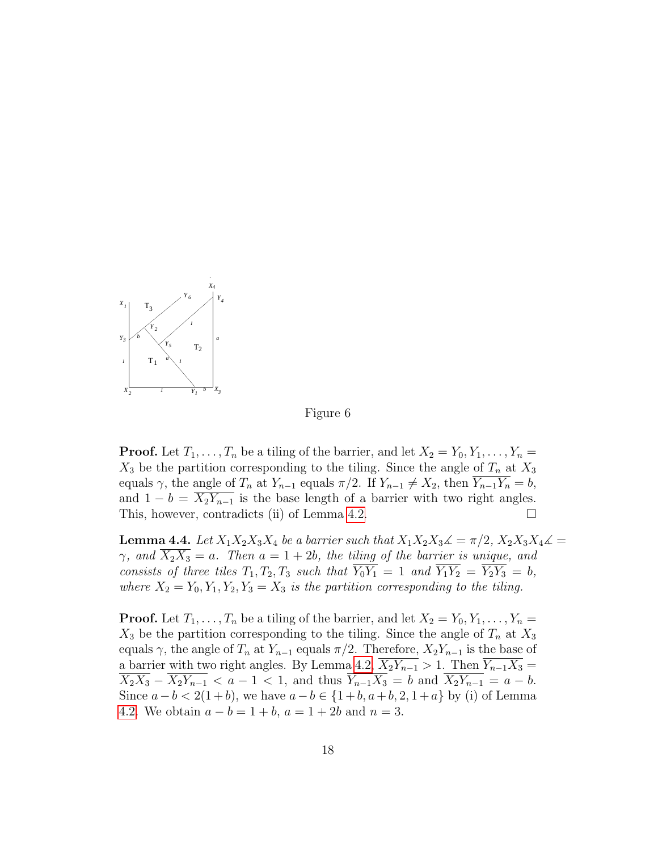<span id="page-17-0"></span>

Figure 6

**Proof.** Let  $T_1, \ldots, T_n$  be a tiling of the barrier, and let  $X_2 = Y_0, Y_1, \ldots, Y_n =$  $X_3$  be the partition corresponding to the tiling. Since the angle of  $T_n$  at  $X_3$ equals  $\gamma$ , the angle of  $T_n$  at  $Y_{n-1}$  equals  $\pi/2$ . If  $Y_{n-1} \neq X_2$ , then  $\overline{Y_{n-1}Y_n} = b$ , and  $1 - b = X_2Y_{n-1}$  is the base length of a barrier with two right angles. This, however, contradicts (ii) of Lemma [4.2.](#page-15-0)

<span id="page-17-1"></span>**Lemma 4.4.** Let  $X_1X_2X_3X_4$  be a barrier such that  $X_1X_2X_3\mathcal{L} = \pi/2$ ,  $X_2X_3X_4\mathcal{L} =$  $\gamma$ , and  $\overline{X_2X_3} = a$ . Then  $a = 1 + 2b$ , the tiling of the barrier is unique, and consists of three tiles  $T_1, T_2, T_3$  such that  $\overline{Y_0 Y_1} = 1$  and  $\overline{Y_1 Y_2} = \overline{Y_2 Y_3} = b$ , where  $X_2 = Y_0, Y_1, Y_2, Y_3 = X_3$  is the partition corresponding to the tiling.

**Proof.** Let  $T_1, \ldots, T_n$  be a tiling of the barrier, and let  $X_2 = Y_0, Y_1, \ldots, Y_n =$  $X_3$  be the partition corresponding to the tiling. Since the angle of  $T_n$  at  $X_3$ equals  $\gamma$ , the angle of  $T_n$  at  $Y_{n-1}$  equals  $\pi/2$ . Therefore,  $X_2Y_{n-1}$  is the base of a barrier with two right angles. By Lemma [4.2,](#page-15-0)  $\overline{X_2Y_{n-1}} > 1$ . Then  $\overline{Y_{n-1}X_3} =$  $\overline{X_2 X_3} - \overline{X_2 Y_{n-1}} < a - 1 < 1$ , and thus  $\overline{Y_{n-1} X_3} = b$  and  $\overline{X_2 Y_{n-1}} = a - b$ . Since  $a - b < 2(1 + b)$ , we have  $a - b \in \{1 + b, a + b, 2, 1 + a\}$  by (i) of Lemma [4.2.](#page-15-0) We obtain  $a - b = 1 + b$ ,  $a = 1 + 2b$  and  $n = 3$ .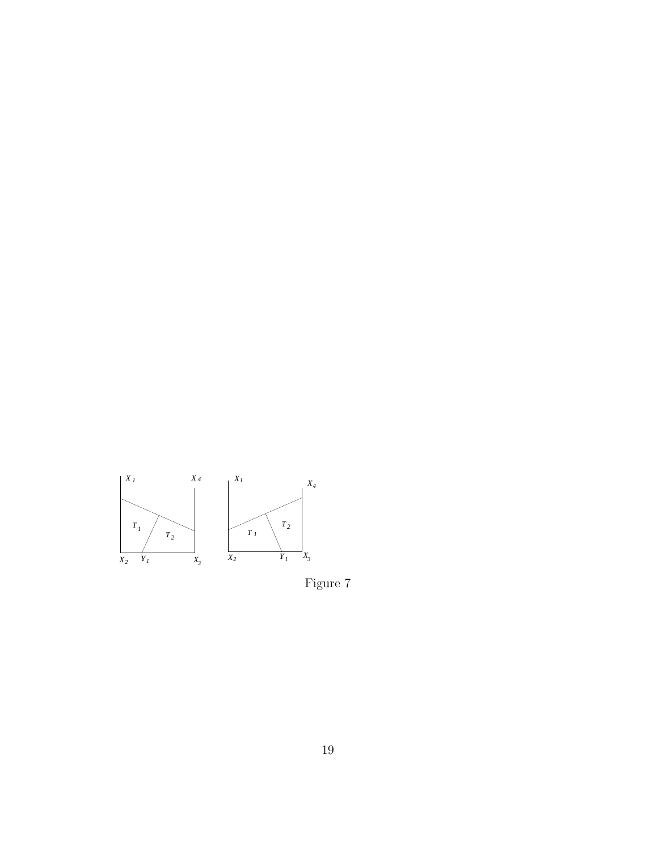<span id="page-18-0"></span>

Figure 7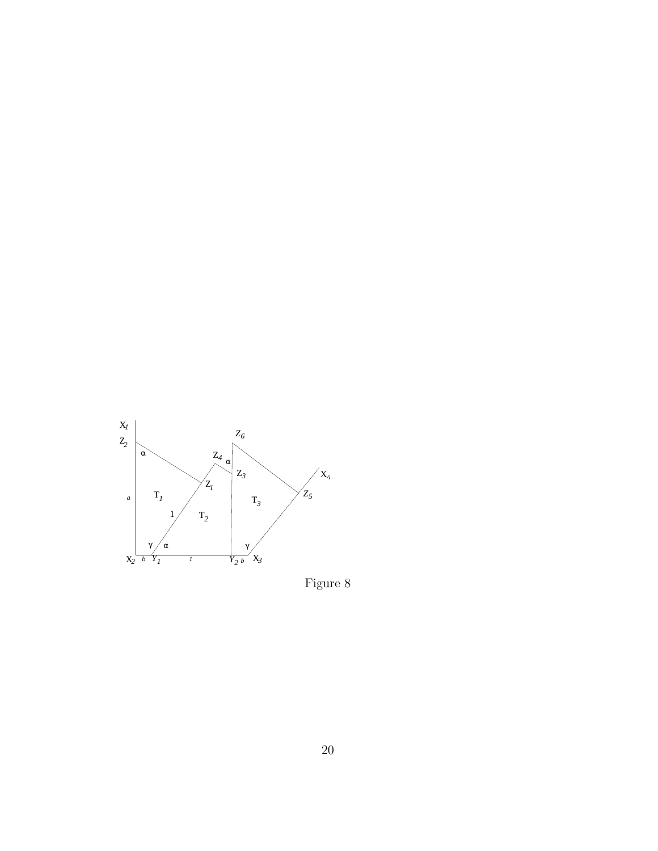<span id="page-19-0"></span>

Figure 8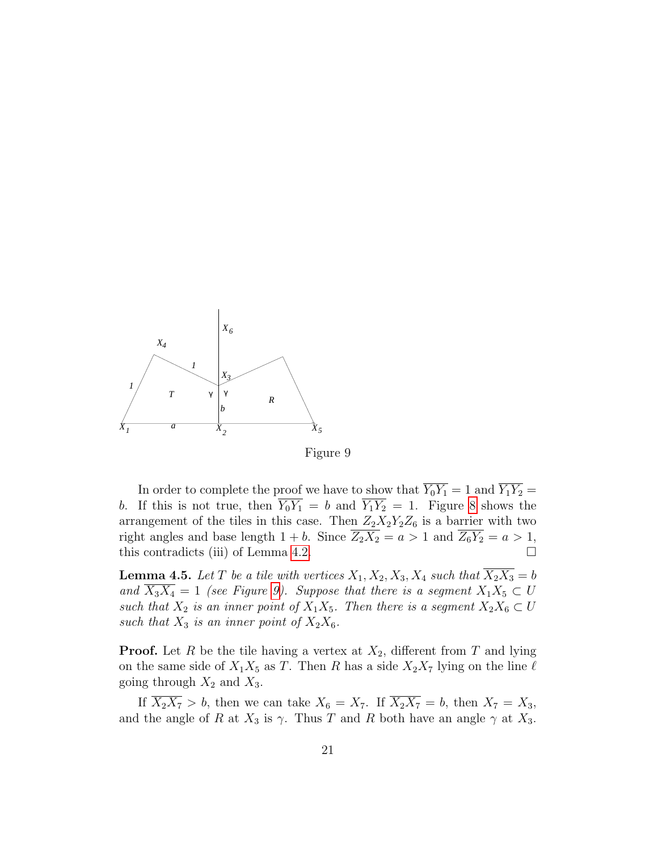<span id="page-20-0"></span>

Figure 9

In order to complete the proof we have to show that  $\overline{Y_0 Y_1} = 1$  and  $\overline{Y_1 Y_2} =$ b. If this is not true, then  $\overline{Y_0 Y_1} = b$  and  $\overline{Y_1 Y_2} = 1$ . Figure [8](#page-19-0) shows the arrangement of the tiles in this case. Then  $Z_2X_2Y_2Z_6$  is a barrier with two right angles and base length  $1 + b$ . Since  $\overline{Z_2 X_2} = a > 1$  and  $\overline{Z_6 Y_2} = a > 1$ , this contradicts (iii) of Lemma [4.2.](#page-15-0)  $\Box$ 

<span id="page-20-1"></span>**Lemma 4.5.** Let T be a tile with vertices  $X_1, X_2, X_3, X_4$  such that  $\overline{X_2 X_3} = b$ and  $\overline{X_3X_4} = 1$  (see Figure [9\)](#page-20-0). Suppose that there is a segment  $X_1X_5 \subset U$ such that  $X_2$  is an inner point of  $X_1X_5$ . Then there is a segment  $X_2X_6 \subset U$ such that  $X_3$  is an inner point of  $X_2X_6$ .

**Proof.** Let R be the tile having a vertex at  $X_2$ , different from T and lying on the same side of  $X_1 X_5$  as T. Then R has a side  $X_2 X_7$  lying on the line  $\ell$ going through  $X_2$  and  $X_3$ .

If  $\overline{X_2 X_7} > b$ , then we can take  $X_6 = X_7$ . If  $\overline{X_2 X_7} = b$ , then  $X_7 = X_3$ , and the angle of R at  $X_3$  is  $\gamma$ . Thus T and R both have an angle  $\gamma$  at  $X_3$ .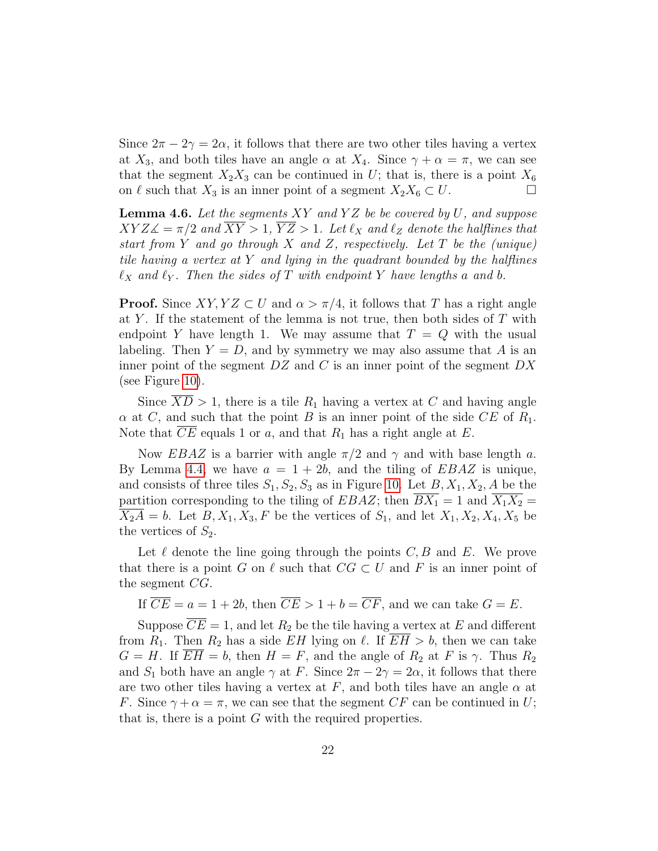Since  $2\pi - 2\gamma = 2\alpha$ , it follows that there are two other tiles having a vertex at  $X_3$ , and both tiles have an angle  $\alpha$  at  $X_4$ . Since  $\gamma + \alpha = \pi$ , we can see that the segment  $X_2X_3$  can be continued in U; that is, there is a point  $X_6$ on  $\ell$  such that  $X_3$  is an inner point of a segment  $X_2X_6 \subset U$ .

<span id="page-21-0"></span>**Lemma 4.6.** Let the segments  $XY$  and  $YZ$  be be covered by  $U$ , and suppose  $XYZ\angle = \pi/2$  and  $\overline{XY} > 1$ ,  $\overline{YZ} > 1$ . Let  $\ell_X$  and  $\ell_Z$  denote the halflines that start from Y and go through X and Z, respectively. Let T be the (unique) tile having a vertex at  $Y$  and lying in the quadrant bounded by the halflines  $\ell_X$  and  $\ell_Y$ . Then the sides of T with endpoint Y have lengths a and b.

**Proof.** Since  $XY, YZ \subset U$  and  $\alpha > \pi/4$ , it follows that T has a right angle at Y. If the statement of the lemma is not true, then both sides of  $T$  with endpoint Y have length 1. We may assume that  $T = Q$  with the usual labeling. Then  $Y = D$ , and by symmetry we may also assume that A is an inner point of the segment  $DZ$  and C is an inner point of the segment  $DX$ (see Figure [10\)](#page-22-0).

Since  $XD > 1$ , there is a tile  $R_1$  having a vertex at C and having angle  $\alpha$  at C, and such that the point B is an inner point of the side CE of  $R_1$ . Note that  $CE$  equals 1 or a, and that  $R_1$  has a right angle at E.

Now EBAZ is a barrier with angle  $\pi/2$  and  $\gamma$  and with base length a. By Lemma [4.4,](#page-17-1) we have  $a = 1 + 2b$ , and the tiling of EBAZ is unique, and consists of three tiles  $S_1, S_2, S_3$  as in Figure [10.](#page-22-0) Let  $B, X_1, X_2, A$  be the partition corresponding to the tiling of EBAZ; then  $\overline{BX_1} = 1$  and  $\overline{X_1 X_2} =$  $\overline{X_2A} = b$ . Let  $B, X_1, X_3, F$  be the vertices of  $S_1$ , and let  $X_1, X_2, X_4, X_5$  be the vertices of  $S_2$ .

Let  $\ell$  denote the line going through the points  $C, B$  and E. We prove that there is a point G on  $\ell$  such that  $CG \subset U$  and F is an inner point of the segment CG.

If  $\overline{CE} = a = 1 + 2b$ , then  $\overline{CE} > 1 + b = \overline{CF}$ , and we can take  $G = E$ .

Suppose  $\overline{CE} = 1$ , and let  $R_2$  be the tile having a vertex at E and different from  $R_1$ . Then  $R_2$  has a side EH lying on  $\ell$ . If  $\overline{EH} > b$ , then we can take  $G = H$ . If  $EH = b$ , then  $H = F$ , and the angle of  $R_2$  at F is  $\gamma$ . Thus  $R_2$ and  $S_1$  both have an angle  $\gamma$  at F. Since  $2\pi - 2\gamma = 2\alpha$ , it follows that there are two other tiles having a vertex at F, and both tiles have an angle  $\alpha$  at F. Since  $\gamma + \alpha = \pi$ , we can see that the segment CF can be continued in U; that is, there is a point  $G$  with the required properties.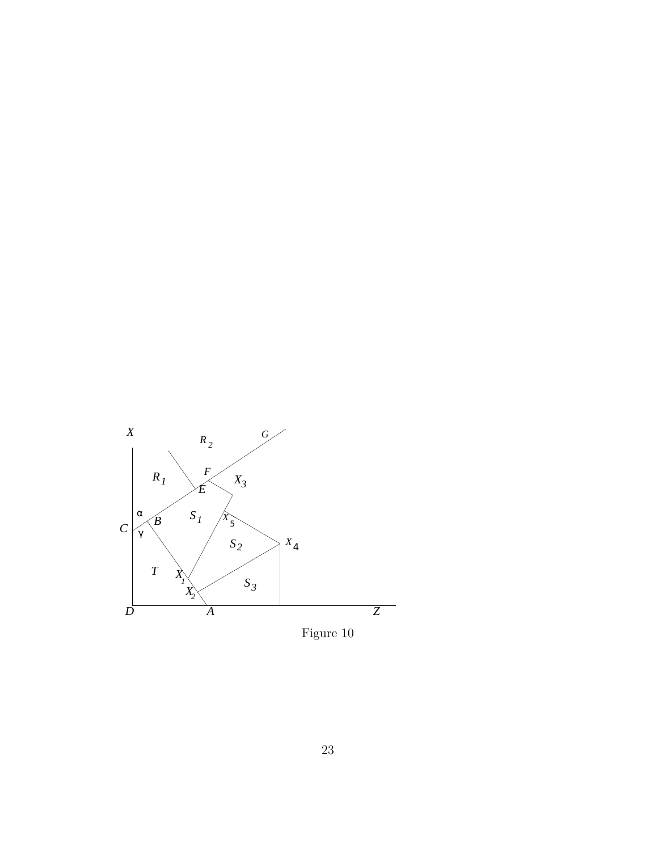<span id="page-22-0"></span>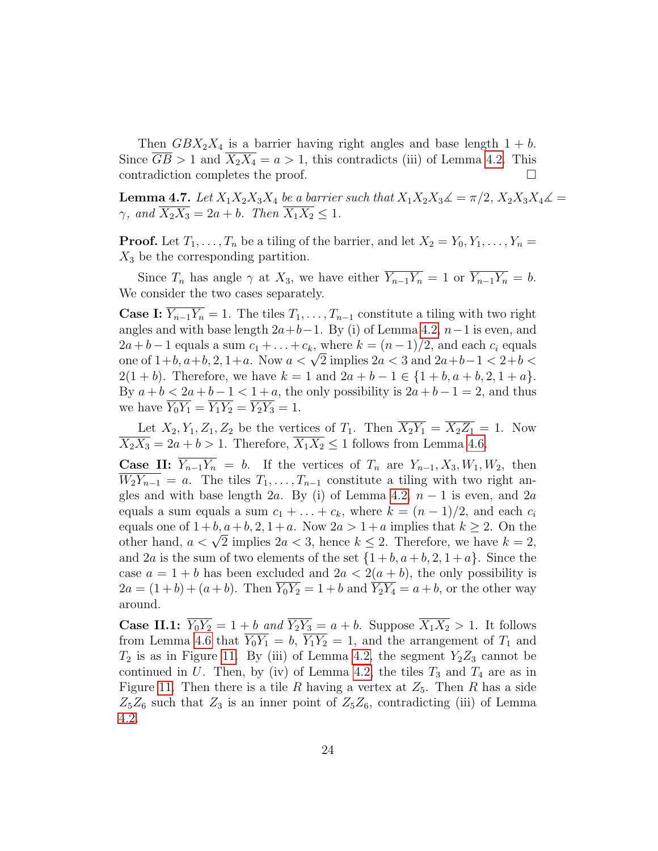Then  $GBX_2X_4$  is a barrier having right angles and base length  $1 + b$ . Since  $\overline{GB} > 1$  and  $\overline{X_2X_4} = a > 1$ , this contradicts (iii) of Lemma [4.2.](#page-15-0) This contradiction completes the proof.

<span id="page-23-0"></span>**Lemma 4.7.** Let  $X_1X_2X_3X_4$  be a barrier such that  $X_1X_2X_3\mathcal{L} = \pi/2$ ,  $X_2X_3X_4\mathcal{L} =$  $\gamma$ , and  $\overline{X_2 X_3} = 2a + b$ . Then  $\overline{X_1 X_2} \leq 1$ .

**Proof.** Let  $T_1, \ldots, T_n$  be a tiling of the barrier, and let  $X_2 = Y_0, Y_1, \ldots, Y_n =$  $X_3$  be the corresponding partition.

Since  $T_n$  has angle  $\gamma$  at  $X_3$ , we have either  $\overline{Y_{n-1}Y_n} = 1$  or  $\overline{Y_{n-1}Y_n} = b$ . We consider the two cases separately.

**Case I:**  $\overline{Y_{n-1}Y_n} = 1$ . The tiles  $T_1, \ldots, T_{n-1}$  constitute a tiling with two right angles and with base length  $2a+b-1$ . By (i) of Lemma [4.2,](#page-15-0)  $n-1$  is even, and  $2a + b - 1$  equals a sum  $c_1 + \ldots + c_k$ , where  $k = (n - 1)/2$ , and each  $c_i$  equals  $2a + b - 1$  equals a sum  $c_1 + \ldots + c_k$ , where  $\kappa = (n - 1)/2$ , and each  $c_i$  equals<br>one of  $1+b$ ,  $a+b$ ,  $2$ ,  $1+a$ . Now  $a < \sqrt{2}$  implies  $2a < 3$  and  $2a+b-1 < 2+b <$  $2(1 + b)$ . Therefore, we have  $k = 1$  and  $2a + b - 1 \in \{1 + b, a + b, 2, 1 + a\}.$ By  $a + b < 2a + b - 1 < 1 + a$ , the only possibility is  $2a + b - 1 = 2$ , and thus we have  $\overline{Y_0 Y_1} = \overline{Y_1 Y_2} = \overline{Y_2 Y_3} = 1.$ 

Let  $X_2, Y_1, Z_1, Z_2$  be the vertices of  $T_1$ . Then  $\overline{X_2Y_1} = \overline{X_2Z_1} = 1$ . Now  $\overline{X_2 X_3} = 2a + b > 1$ . Therefore,  $\overline{X_1 X_2} \le 1$  follows from Lemma [4.6.](#page-21-0)

**Case II:**  $\overline{Y_{n-1}Y_n} = b$ . If the vertices of  $T_n$  are  $Y_{n-1}, X_3, W_1, W_2$ , then  $W_2Y_{n-1} = a$ . The tiles  $T_1, \ldots, T_{n-1}$  constitute a tiling with two right an-gles and with base length 2a. By (i) of Lemma [4.2,](#page-15-0)  $n-1$  is even, and 2a equals a sum equals a sum  $c_1 + \ldots + c_k$ , where  $k = (n-1)/2$ , and each  $c_i$ equals one of  $1+b$ ,  $a+b$ ,  $2$ ,  $1+a$ . Now  $2a > 1+a$  implies that  $k \ge 2$ . On the equals one or  $1 + b, a + b, 2, 1 + a$ . Now  $2a > 1 + a$  implies that  $k \ge 2$ . On the other hand,  $a < \sqrt{2}$  implies  $2a < 3$ , hence  $k \le 2$ . Therefore, we have  $k = 2$ , and 2a is the sum of two elements of the set  $\{1+b, a+b, 2, 1+a\}$ . Since the case  $a = 1 + b$  has been excluded and  $2a < 2(a + b)$ , the only possibility is  $2a = (1+b) + (a+b)$ . Then  $\overline{Y_0 Y_2} = 1+b$  and  $\overline{Y_2 Y_4} = a+b$ , or the other way around.

**Case II.1:**  $\overline{Y_0 Y_2} = 1 + b$  and  $\overline{Y_2 Y_3} = a + b$ . Suppose  $\overline{X_1 X_2} > 1$ . It follows from Lemma [4.6](#page-21-0) that  $\overline{Y_0 Y_1} = b$ ,  $\overline{Y_1 Y_2} = 1$ , and the arrangement of  $T_1$  and  $T_2$  is as in Figure [11.](#page-24-0) By (iii) of Lemma [4.2,](#page-15-0) the segment  $Y_2Z_3$  cannot be continued in U. Then, by (iv) of Lemma [4.2,](#page-15-0) the tiles  $T_3$  and  $T_4$  are as in Figure [11.](#page-24-0) Then there is a tile R having a vertex at  $Z_5$ . Then R has a side  $Z_5Z_6$  such that  $Z_3$  is an inner point of  $Z_5Z_6$ , contradicting (iii) of Lemma [4.2.](#page-15-0)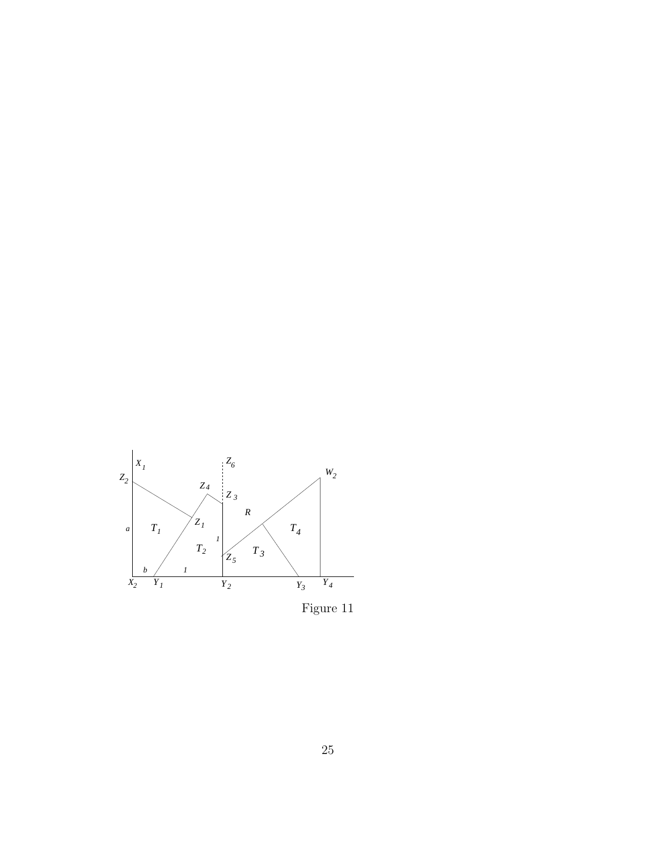<span id="page-24-0"></span>

Figure 11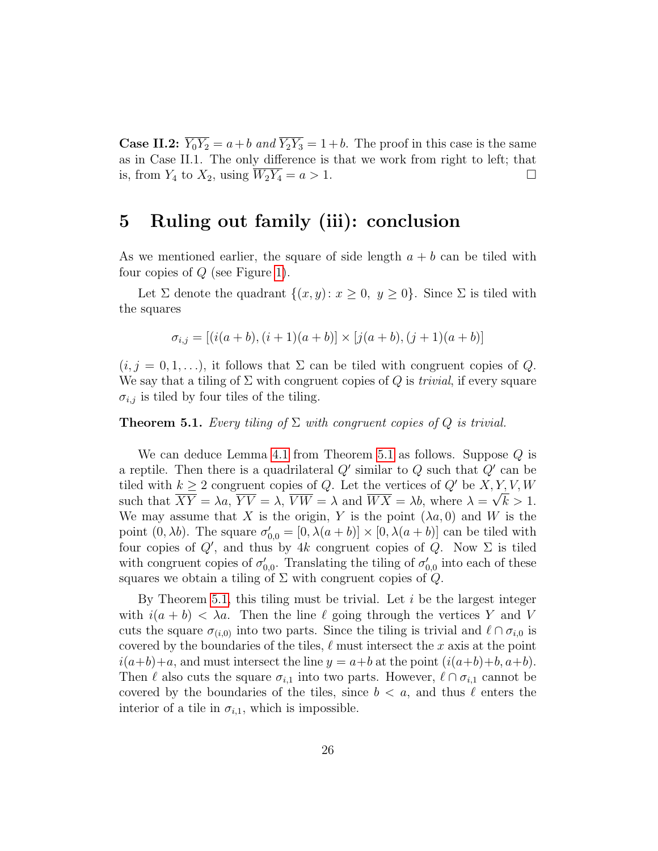**Case II.2:**  $\overline{Y_0 Y_2} = a + b$  and  $\overline{Y_2 Y_3} = 1 + b$ . The proof in this case is the same as in Case II.1. The only difference is that we work from right to left; that is, from  $Y_4$  to  $X_2$ , using  $\overline{W_2Y_4} = a > 1$ .

#### 5 Ruling out family (iii): conclusion

As we mentioned earlier, the square of side length  $a + b$  can be tiled with four copies of  $Q$  (see Figure [1\)](#page-2-0).

Let  $\Sigma$  denote the quadrant  $\{(x, y): x \geq 0, y \geq 0\}$ . Since  $\Sigma$  is tiled with the squares

$$
\sigma_{i,j} = [(i(a+b), (i+1)(a+b)] \times [j(a+b), (j+1)(a+b)]
$$

 $(i, j = 0, 1, \ldots)$ , it follows that  $\Sigma$  can be tiled with congruent copies of Q. We say that a tiling of  $\Sigma$  with congruent copies of  $Q$  is *trivial*, if every square  $\sigma_{i,j}$  is tiled by four tiles of the tiling.

<span id="page-25-0"></span>**Theorem 5.1.** Every tiling of  $\Sigma$  with congruent copies of  $Q$  is trivial.

We can deduce Lemma [4.1](#page-14-0) from Theorem [5.1](#page-25-0) as follows. Suppose  $Q$  is a reptile. Then there is a quadrilateral  $Q'$  similar to  $Q$  such that  $Q'$  can be tiled with  $k \geq 2$  congruent copies of Q. Let the vertices of Q' be  $X, Y, V, W$ such that  $XY = \lambda a$ ,  $YV = \lambda$ ,  $VW = \lambda$  and  $WX = \lambda b$ , where  $\lambda = \sqrt{k} > 1$ . We may assume that X is the origin, Y is the point  $(\lambda a, 0)$  and W is the point  $(0, \lambda b)$ . The square  $\sigma'_{0,0} = [0, \lambda(a+b)] \times [0, \lambda(a+b)]$  can be tiled with four copies of  $Q'$ , and thus by 4k congruent copies of  $Q$ . Now  $\Sigma$  is tiled with congruent copies of  $\sigma'_{0,0}$ . Translating the tiling of  $\sigma'_{0,0}$  into each of these squares we obtain a tiling of  $\Sigma$  with congruent copies of  $Q$ .

By Theorem [5.1,](#page-25-0) this tiling must be trivial. Let  $i$  be the largest integer with  $i(a + b) < \lambda a$ . Then the line  $\ell$  going through the vertices Y and V cuts the square  $\sigma_{(i,0)}$  into two parts. Since the tiling is trivial and  $\ell \cap \sigma_{i,0}$  is covered by the boundaries of the tiles,  $\ell$  must intersect the x axis at the point  $i(a+b)+a$ , and must intersect the line  $y = a+b$  at the point  $(i(a+b)+b, a+b)$ . Then  $\ell$  also cuts the square  $\sigma_{i,1}$  into two parts. However,  $\ell \cap \sigma_{i,1}$  cannot be covered by the boundaries of the tiles, since  $b < a$ , and thus  $\ell$  enters the interior of a tile in  $\sigma_{i,1}$ , which is impossible.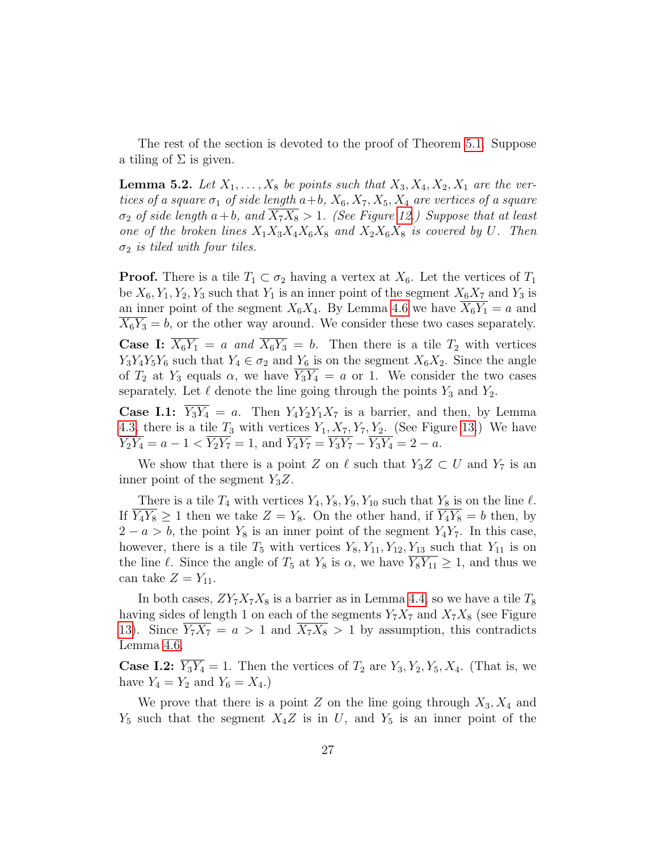The rest of the section is devoted to the proof of Theorem [5.1.](#page-25-0) Suppose a tiling of  $\Sigma$  is given.

<span id="page-26-0"></span>**Lemma 5.2.** Let  $X_1, \ldots, X_8$  be points such that  $X_3, X_4, X_2, X_1$  are the vertices of a square  $\sigma_1$  of side length  $a+b$ ,  $X_6, X_7, X_5, X_4$  are vertices of a square  $\sigma_2$  of side length  $a+b$ , and  $\overline{X_7X_8} > 1$ . (See Figure [12.](#page-27-0)) Suppose that at least one of the broken lines  $X_1X_3X_4X_6X_8$  and  $X_2X_6X_8$  is covered by U. Then  $\sigma_2$  is tiled with four tiles.

**Proof.** There is a tile  $T_1 \subset \sigma_2$  having a vertex at  $X_6$ . Let the vertices of  $T_1$ be  $X_6, Y_1, Y_2, Y_3$  such that  $Y_1$  is an inner point of the segment  $X_6X_7$  and  $Y_3$  is an inner point of the segment  $X_6X_4$ . By Lemma [4.6](#page-21-0) we have  $X_6Y_1 = a$  and  $X_6Y_3 = b$ , or the other way around. We consider these two cases separately. **Case I:**  $\overline{X_6Y_1} = a$  and  $\overline{X_6Y_3} = b$ . Then there is a tile  $T_2$  with vertices  $Y_3Y_4Y_5Y_6$  such that  $Y_4 \in \sigma_2$  and  $Y_6$  is on the segment  $X_6X_2$ . Since the angle of  $T_2$  at  $Y_3$  equals  $\alpha$ , we have  $\overline{Y_3Y_4} = a$  or 1. We consider the two cases separately. Let  $\ell$  denote the line going through the points  $Y_3$  and  $Y_2$ .

**Case I.1:**  $\overline{Y_3Y_4} = a$ . Then  $Y_4Y_2Y_1X_7$  is a barrier, and then, by Lemma [4.3,](#page-16-0) there is a tile  $T_3$  with vertices  $Y_1, X_7, Y_7, Y_2$ . (See Figure [13.](#page-28-0)) We have  $\overline{Y_2Y_4} = a - 1 < \overline{Y_2Y_7} = 1$ , and  $\overline{Y_4Y_7} = \overline{Y_3Y_7} - \overline{Y_3Y_4} = 2 - a$ .

We show that there is a point Z on  $\ell$  such that  $Y_3Z \subset U$  and  $Y_7$  is an inner point of the segment  $Y_3Z$ .

There is a tile  $T_4$  with vertices  $Y_4, Y_8, Y_9, Y_{10}$  such that  $Y_8$  is on the line  $\ell$ . If  $\overline{Y_4Y_8} \ge 1$  then we take  $Z = Y_8$ . On the other hand, if  $\overline{Y_4Y_8} = b$  then, by  $2 - a > b$ , the point  $Y_8$  is an inner point of the segment  $Y_4Y_7$ . In this case, however, there is a tile  $T_5$  with vertices  $Y_8, Y_{11}, Y_{12}, Y_{13}$  such that  $Y_{11}$  is on the line  $\ell$ . Since the angle of  $T_5$  at  $Y_8$  is  $\alpha$ , we have  $\overline{Y_8Y_{11}} \geq 1$ , and thus we can take  $Z = Y_{11}$ .

In both cases,  $ZY_7X_7X_8$  is a barrier as in Lemma [4.4,](#page-17-1) so we have a tile  $T_8$ having sides of length 1 on each of the segments  $Y_7X_7$  and  $X_7X_8$  (see Figure [13\)](#page-28-0). Since  $Y_7X_7 = a > 1$  and  $X_7X_8 > 1$  by assumption, this contradicts Lemma [4.6.](#page-21-0)

**Case I.2:**  $\overline{Y_3Y_4} = 1$ . Then the vertices of  $T_2$  are  $Y_3, Y_2, Y_5, X_4$ . (That is, we have  $Y_4 = Y_2$  and  $Y_6 = X_4$ .

We prove that there is a point Z on the line going through  $X_3, X_4$  and  $Y_5$  such that the segment  $X_4Z$  is in U, and  $Y_5$  is an inner point of the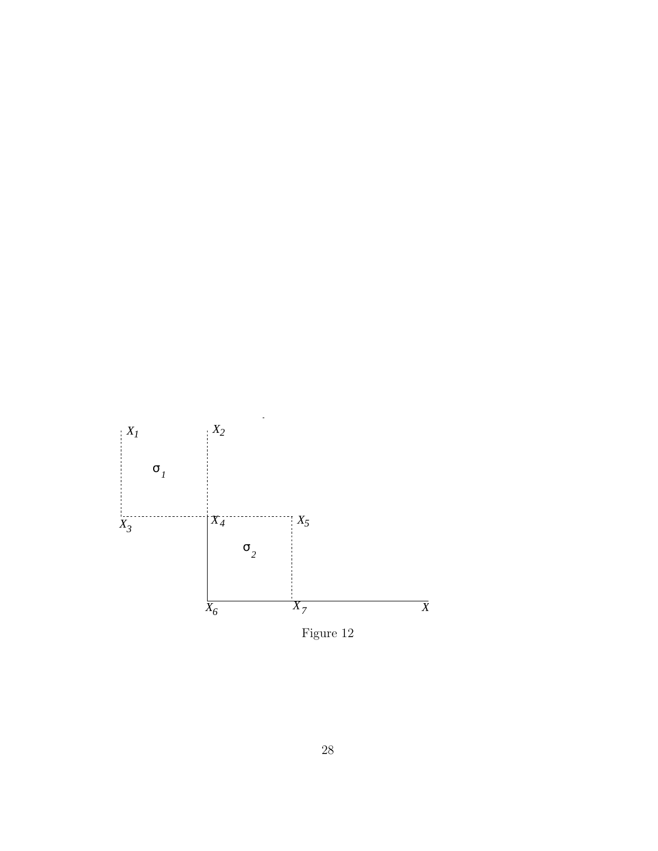<span id="page-27-0"></span>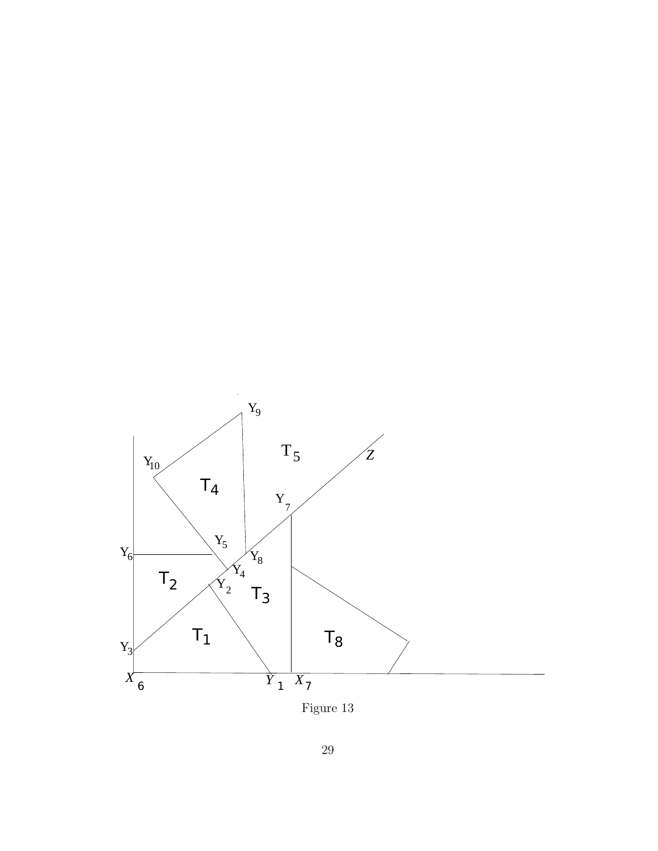<span id="page-28-0"></span>

Figure 13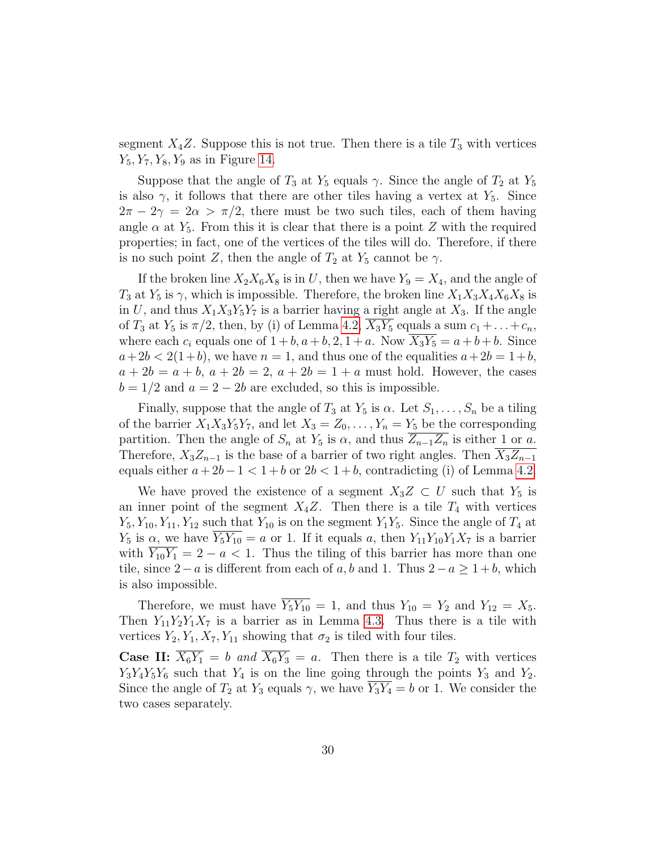segment  $X_4Z$ . Suppose this is not true. Then there is a tile  $T_3$  with vertices  $Y_5, Y_7, Y_8, Y_9$  as in Figure [14.](#page-30-0)

Suppose that the angle of  $T_3$  at  $Y_5$  equals  $\gamma$ . Since the angle of  $T_2$  at  $Y_5$ is also  $\gamma$ , it follows that there are other tiles having a vertex at  $Y_5$ . Since  $2\pi - 2\gamma = 2\alpha > \pi/2$ , there must be two such tiles, each of them having angle  $\alpha$  at  $Y_5$ . From this it is clear that there is a point Z with the required properties; in fact, one of the vertices of the tiles will do. Therefore, if there is no such point Z, then the angle of  $T_2$  at  $Y_5$  cannot be  $\gamma$ .

If the broken line  $X_2X_6X_8$  is in U, then we have  $Y_9 = X_4$ , and the angle of  $T_3$  at  $Y_5$  is  $\gamma$ , which is impossible. Therefore, the broken line  $X_1X_3X_4X_6X_8$  is in U, and thus  $X_1X_3Y_5Y_7$  is a barrier having a right angle at  $X_3$ . If the angle of  $T_3$  at  $Y_5$  is  $\pi/2$ , then, by (i) of Lemma [4.2,](#page-15-0)  $X_3Y_5$  equals a sum  $c_1 + \ldots + c_n$ , where each  $c_i$  equals one of  $1 + b$ ,  $a + b$ ,  $2$ ,  $1 + a$ . Now  $X_3Y_5 = a + b + b$ . Since  $a+2b < 2(1+b)$ , we have  $n = 1$ , and thus one of the equalities  $a+2b = 1+b$ ,  $a + 2b = a + b, a + 2b = 2, a + 2b = 1 + a$  must hold. However, the cases  $b = 1/2$  and  $a = 2 - 2b$  are excluded, so this is impossible.

Finally, suppose that the angle of  $T_3$  at  $Y_5$  is  $\alpha$ . Let  $S_1, \ldots, S_n$  be a tiling of the barrier  $X_1X_3Y_5Y_7$ , and let  $X_3 = Z_0, \ldots, Y_n = Y_5$  be the corresponding partition. Then the angle of  $S_n$  at  $Y_5$  is  $\alpha$ , and thus  $\overline{Z_{n-1}Z_n}$  is either 1 or a. Therefore,  $X_3Z_{n-1}$  is the base of a barrier of two right angles. Then  $X_3Z_{n-1}$ equals either  $a+2b-1 < 1+b$  or  $2b < 1+b$ , contradicting (i) of Lemma [4.2.](#page-15-0)

We have proved the existence of a segment  $X_3Z \subset U$  such that  $Y_5$  is an inner point of the segment  $X_4Z$ . Then there is a tile  $T_4$  with vertices  $Y_5, Y_{10}, Y_{11}, Y_{12}$  such that  $Y_{10}$  is on the segment  $Y_1Y_5$ . Since the angle of  $T_4$  at  $Y_5$  is  $\alpha$ , we have  $\overline{Y_5Y_{10}} = a$  or 1. If it equals a, then  $Y_{11}Y_{10}Y_1X_7$  is a barrier with  $\overline{Y_{10}Y_1} = 2 - a < 1$ . Thus the tiling of this barrier has more than one tile, since 2−a is different from each of a, b and 1. Thus  $2-a \ge 1+b$ , which is also impossible.

Therefore, we must have  $\overline{Y_5Y_{10}} = 1$ , and thus  $Y_{10} = Y_2$  and  $Y_{12} = X_5$ . Then  $Y_{11}Y_2Y_1X_7$  is a barrier as in Lemma [4.3.](#page-16-0) Thus there is a tile with vertices  $Y_2, Y_1, X_7, Y_{11}$  showing that  $\sigma_2$  is tiled with four tiles.

**Case II:**  $\overline{X_6Y_1} = b$  and  $\overline{X_6Y_3} = a$ . Then there is a tile  $T_2$  with vertices  $Y_3Y_4Y_5Y_6$  such that  $Y_4$  is on the line going through the points  $Y_3$  and  $Y_2$ . Since the angle of  $T_2$  at  $Y_3$  equals  $\gamma$ , we have  $Y_3Y_4 = b$  or 1. We consider the two cases separately.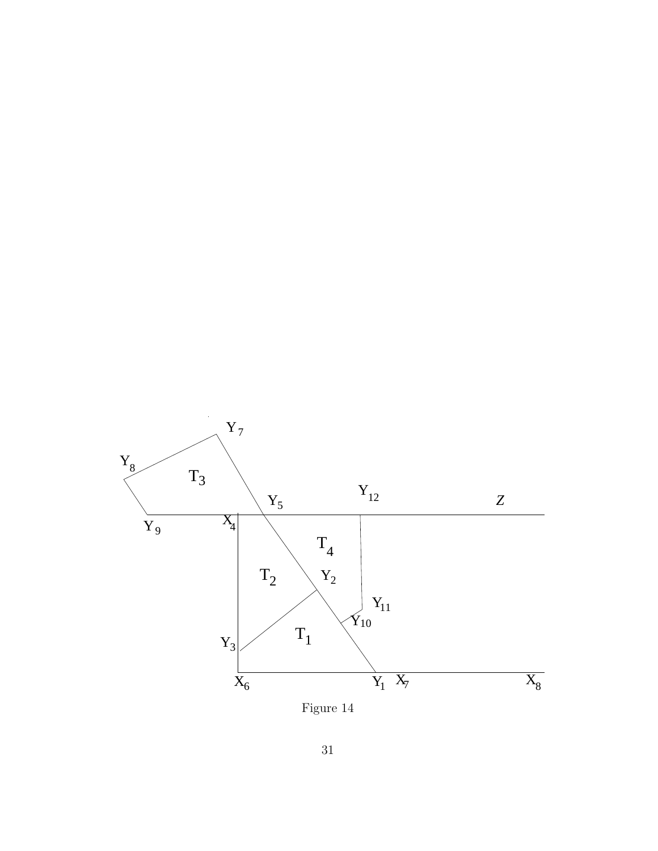<span id="page-30-0"></span>

Figure 14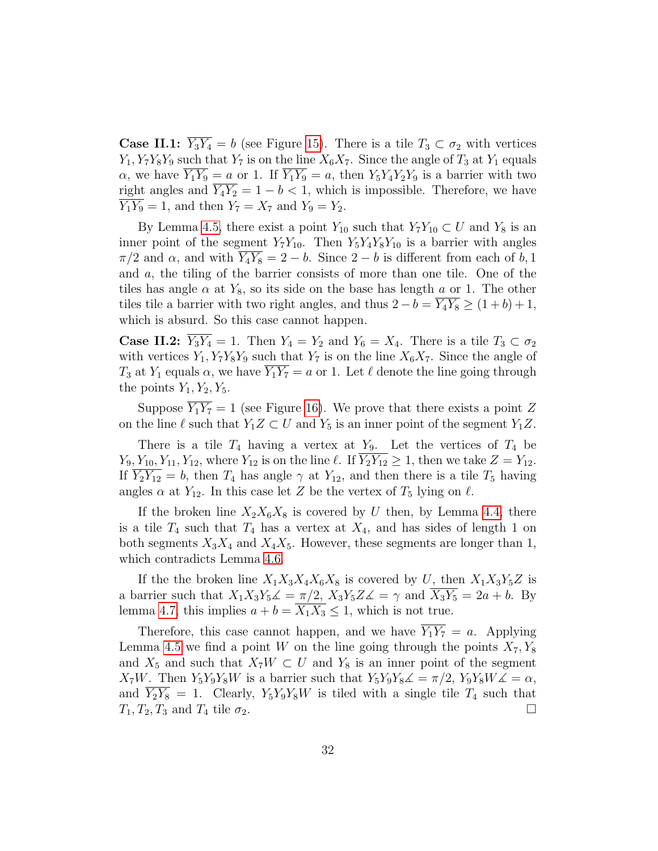**Case II.1:**  $Y_3Y_4 = b$  (see Figure [15\)](#page-32-0). There is a tile  $T_3 \subset \sigma_2$  with vertices  $Y_1, Y_7Y_8Y_9$  such that  $Y_7$  is on the line  $X_6X_7$ . Since the angle of  $T_3$  at  $Y_1$  equals  $\alpha$ , we have  $\overline{Y_1Y_9} = a$  or 1. If  $\overline{Y_1Y_9} = a$ , then  $Y_5Y_4Y_2Y_9$  is a barrier with two right angles and  $\overline{Y_4Y_2} = 1 - b < 1$ , which is impossible. Therefore, we have  $Y_1Y_9 = 1$ , and then  $Y_7 = X_7$  and  $Y_9 = Y_2$ .

By Lemma [4.5,](#page-20-1) there exist a point  $Y_{10}$  such that  $Y_7Y_{10} \subset U$  and  $Y_8$  is an inner point of the segment  $Y_7Y_{10}$ . Then  $Y_5Y_4Y_8Y_{10}$  is a barrier with angles  $\pi/2$  and  $\alpha$ , and with  $Y_4Y_8 = 2 - b$ . Since  $2 - b$  is different from each of b, 1 and a, the tiling of the barrier consists of more than one tile. One of the tiles has angle  $\alpha$  at  $Y_8$ , so its side on the base has length a or 1. The other tiles tile a barrier with two right angles, and thus  $2 - b = \overline{Y_4 Y_8} \ge (1 + b) + 1$ , which is absurd. So this case cannot happen.

**Case II.2:**  $\overline{Y_3Y_4} = 1$ . Then  $Y_4 = Y_2$  and  $Y_6 = X_4$ . There is a tile  $T_3 \subset \sigma_2$ with vertices  $Y_1, Y_7Y_8Y_9$  such that  $Y_7$  is on the line  $X_6X_7$ . Since the angle of  $T_3$  at  $Y_1$  equals  $\alpha$ , we have  $\overline{Y_1 Y_7} = a$  or 1. Let  $\ell$  denote the line going through the points  $Y_1, Y_2, Y_5$ .

Suppose  $\overline{Y_1 Y_7} = 1$  (see Figure [16\)](#page-33-0). We prove that there exists a point Z on the line  $\ell$  such that  $Y_1Z \subset U$  and  $Y_5$  is an inner point of the segment  $Y_1Z$ .

There is a tile  $T_4$  having a vertex at  $Y_9$ . Let the vertices of  $T_4$  be  $Y_9, Y_{10}, Y_{11}, Y_{12}$ , where  $Y_{12}$  is on the line  $\ell$ . If  $\overline{Y_2Y_{12}} \geq 1$ , then we take  $Z = Y_{12}$ . If  $\overline{Y_2Y_{12}} = b$ , then  $T_4$  has angle  $\gamma$  at  $Y_{12}$ , and then there is a tile  $T_5$  having angles  $\alpha$  at  $Y_{12}$ . In this case let Z be the vertex of  $T_5$  lying on  $\ell$ .

If the broken line  $X_2X_6X_8$  is covered by U then, by Lemma [4.4,](#page-17-1) there is a tile  $T_4$  such that  $T_4$  has a vertex at  $X_4$ , and has sides of length 1 on both segments  $X_3X_4$  and  $X_4X_5$ . However, these segments are longer than 1, which contradicts Lemma [4.6.](#page-21-0)

If the the broken line  $X_1X_3X_4X_6X_8$  is covered by U, then  $X_1X_3Y_5Z$  is a barrier such that  $X_1X_3Y_5\mathcal{L} = \pi/2$ ,  $X_3Y_5Z\mathcal{L} = \gamma$  and  $\overline{X_3Y_5} = 2a + b$ . By lemma [4.7,](#page-23-0) this implies  $a + b = \overline{X_1 X_3} \leq 1$ , which is not true.

Therefore, this case cannot happen, and we have  $Y_1Y_7 = a$ . Applying Lemma [4.5](#page-20-1) we find a point W on the line going through the points  $X_7, Y_8$ and  $X_5$  and such that  $X_7W \subset U$  and  $Y_8$  is an inner point of the segment  $X_7W$ . Then  $Y_5Y_9Y_8W$  is a barrier such that  $Y_5Y_9Y_8\mathcal{L} = \pi/2$ ,  $Y_9Y_8W\mathcal{L} = \alpha$ , and  $Y_2Y_8 = 1$ . Clearly,  $Y_5Y_9Y_8W$  is tiled with a single tile  $T_4$  such that  $T_1, T_2, T_3$  and  $T_4$  tile  $\sigma_2$ .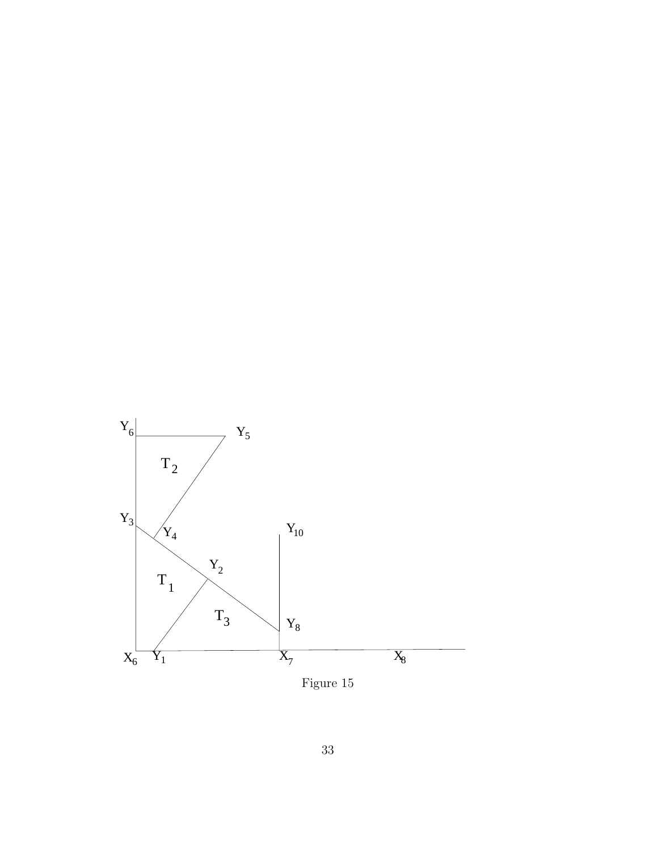<span id="page-32-0"></span>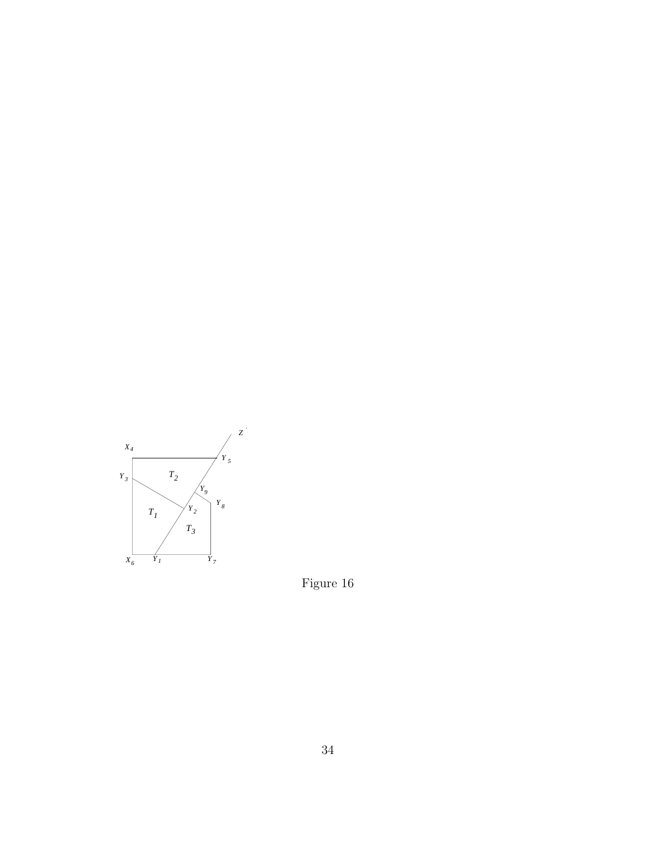<span id="page-33-0"></span>

Figure 16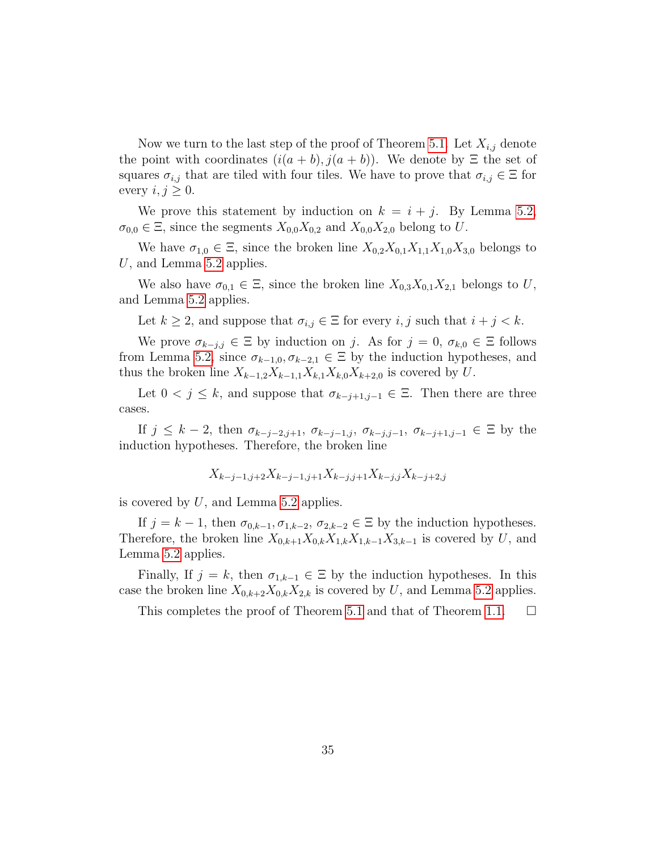Now we turn to the last step of the proof of Theorem [5.1.](#page-25-0) Let  $X_{i,j}$  denote the point with coordinates  $(i(a + b), j(a + b))$ . We denote by  $\Xi$  the set of squares  $\sigma_{i,j}$  that are tiled with four tiles. We have to prove that  $\sigma_{i,j} \in \Xi$  for every  $i, j \geq 0$ .

We prove this statement by induction on  $k = i + j$ . By Lemma [5.2,](#page-26-0)  $\sigma_{0,0} \in \Xi$ , since the segments  $X_{0,0}X_{0,2}$  and  $X_{0,0}X_{2,0}$  belong to U.

We have  $\sigma_{1,0} \in \Xi$ , since the broken line  $X_{0,2}X_{0,1}X_{1,1}X_{1,0}X_{3,0}$  belongs to U, and Lemma  $5.2$  applies.

We also have  $\sigma_{0,1} \in \Xi$ , since the broken line  $X_{0,3}X_{0,1}X_{2,1}$  belongs to U, and Lemma [5.2](#page-26-0) applies.

Let  $k \geq 2$ , and suppose that  $\sigma_{i,j} \in \Xi$  for every  $i, j$  such that  $i + j < k$ .

We prove  $\sigma_{k-j,j} \in \Xi$  by induction on j. As for  $j = 0, \sigma_{k,0} \in \Xi$  follows from Lemma [5.2,](#page-26-0) since  $\sigma_{k-1,0}, \sigma_{k-2,1} \in \Xi$  by the induction hypotheses, and thus the broken line  $X_{k-1,2}X_{k-1,1}X_{k,1}X_{k,0}X_{k+2,0}$  is covered by U.

Let  $0 < j \leq k$ , and suppose that  $\sigma_{k-j+1,j-1} \in \Xi$ . Then there are three cases.

If  $j \leq k-2$ , then  $\sigma_{k-j-2,j+1}, \sigma_{k-j-1,j}, \sigma_{k-j,j-1}, \sigma_{k-j+1,j-1} \in \Xi$  by the induction hypotheses. Therefore, the broken line

$$
X_{k-j-1,j+2}X_{k-j-1,j+1}X_{k-j,j+1}X_{k-j,j}X_{k-j+2,j}
$$

is covered by  $U$ , and Lemma [5.2](#page-26-0) applies.

If  $j = k - 1$ , then  $\sigma_{0,k-1}, \sigma_{1,k-2}, \sigma_{2,k-2} \in \Xi$  by the induction hypotheses. Therefore, the broken line  $X_{0,k+1}X_{0,k}X_{1,k}X_{1,k-1}X_{3,k-1}$  is covered by U, and Lemma [5.2](#page-26-0) applies.

Finally, If  $j = k$ , then  $\sigma_{1,k-1} \in \Xi$  by the induction hypotheses. In this case the broken line  $X_{0,k+2}X_{0,k}X_{2,k}$  is covered by U, and Lemma [5.2](#page-26-0) applies.

This completes the proof of Theorem [5.1](#page-25-0) and that of Theorem [1.1.](#page-1-1)  $\Box$